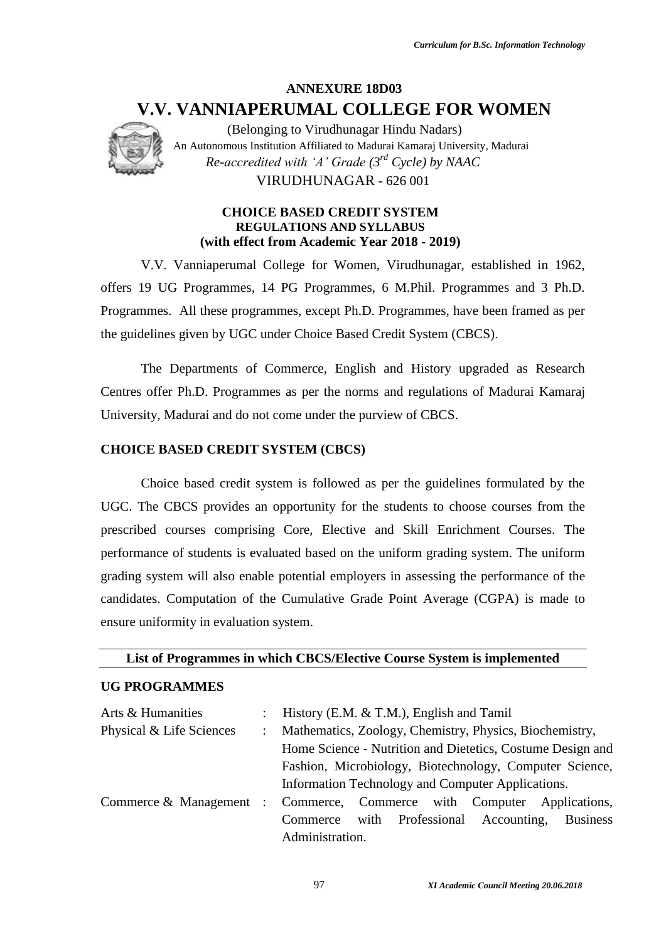# **ANNEXURE 18D03 V.V. VANNIAPERUMAL COLLEGE FOR WOMEN**



(Belonging to Virudhunagar Hindu Nadars) An Autonomous Institution Affiliated to Madurai Kamaraj University, Madurai *Re-accredited with 'A' Grade (3rd Cycle) by NAAC* VIRUDHUNAGAR - 626 001

#### **CHOICE BASED CREDIT SYSTEM REGULATIONS AND SYLLABUS (with effect from Academic Year 2018 - 2019)**

V.V. Vanniaperumal College for Women, Virudhunagar, established in 1962, offers 19 UG Programmes, 14 PG Programmes, 6 M.Phil. Programmes and 3 Ph.D. Programmes. All these programmes, except Ph.D. Programmes, have been framed as per the guidelines given by UGC under Choice Based Credit System (CBCS).

The Departments of Commerce, English and History upgraded as Research Centres offer Ph.D. Programmes as per the norms and regulations of Madurai Kamaraj University, Madurai and do not come under the purview of CBCS.

## **CHOICE BASED CREDIT SYSTEM (CBCS)**

Choice based credit system is followed as per the guidelines formulated by the UGC. The CBCS provides an opportunity for the students to choose courses from the prescribed courses comprising Core, Elective and Skill Enrichment Courses. The performance of students is evaluated based on the uniform grading system. The uniform grading system will also enable potential employers in assessing the performance of the candidates. Computation of the Cumulative Grade Point Average (CGPA) is made to ensure uniformity in evaluation system.

**List of Programmes in which CBCS/Elective Course System is implemented**

## **UG PROGRAMMES**

| Arts & Humanities                                                      | $\mathbb{R}^{\mathbb{Z}}$                       | History (E.M. & T.M.), English and Tamil                   |  |  |  |  |  |
|------------------------------------------------------------------------|-------------------------------------------------|------------------------------------------------------------|--|--|--|--|--|
| Physical & Life Sciences                                               | $\mathbb{R}^{\mathbb{Z}}$                       | Mathematics, Zoology, Chemistry, Physics, Biochemistry,    |  |  |  |  |  |
|                                                                        |                                                 | Home Science - Nutrition and Dietetics, Costume Design and |  |  |  |  |  |
|                                                                        |                                                 | Fashion, Microbiology, Biotechnology, Computer Science,    |  |  |  |  |  |
|                                                                        |                                                 | Information Technology and Computer Applications.          |  |  |  |  |  |
| Commerce & Management : Commerce, Commerce with Computer Applications, |                                                 |                                                            |  |  |  |  |  |
|                                                                        | Commerce with Professional Accounting, Business |                                                            |  |  |  |  |  |
|                                                                        |                                                 | Administration.                                            |  |  |  |  |  |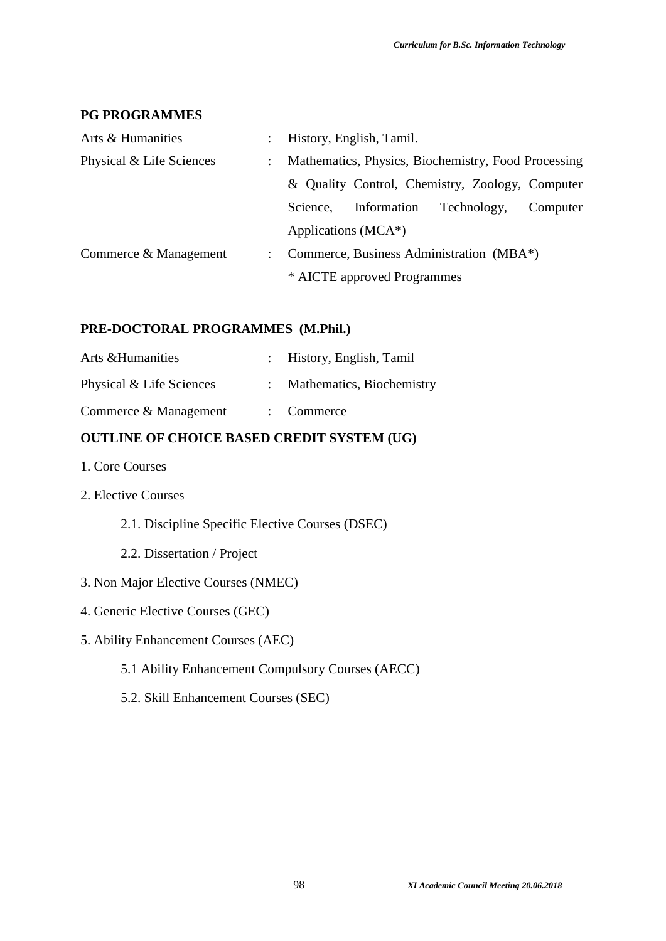## **PG PROGRAMMES**

| Arts & Humanities        | History, English, Tamil.                            |             |             |          |
|--------------------------|-----------------------------------------------------|-------------|-------------|----------|
| Physical & Life Sciences | Mathematics, Physics, Biochemistry, Food Processing |             |             |          |
|                          | & Quality Control, Chemistry, Zoology, Computer     |             |             |          |
|                          | Science,                                            | Information | Technology, | Computer |
|                          | Applications (MCA*)                                 |             |             |          |
| Commerce & Management    | Commerce, Business Administration (MBA*)            |             |             |          |
|                          | * AICTE approved Programmes                         |             |             |          |

## **PRE-DOCTORAL PROGRAMMES (M.Phil.)**

| Arts & Humanities        | : History, English, Tamil |
|--------------------------|---------------------------|
| Physical & Life Sciences | Mathematics, Biochemistry |
| Commerce & Management    | $:$ Commerce              |

## **OUTLINE OF CHOICE BASED CREDIT SYSTEM (UG)**

- 1. Core Courses
- 2. Elective Courses
	- 2.1. Discipline Specific Elective Courses (DSEC)
	- 2.2. Dissertation / Project
- 3. Non Major Elective Courses (NMEC)
- 4. Generic Elective Courses (GEC)
- 5. Ability Enhancement Courses (AEC)
	- 5.1 Ability Enhancement Compulsory Courses (AECC)
	- 5.2. Skill Enhancement Courses (SEC)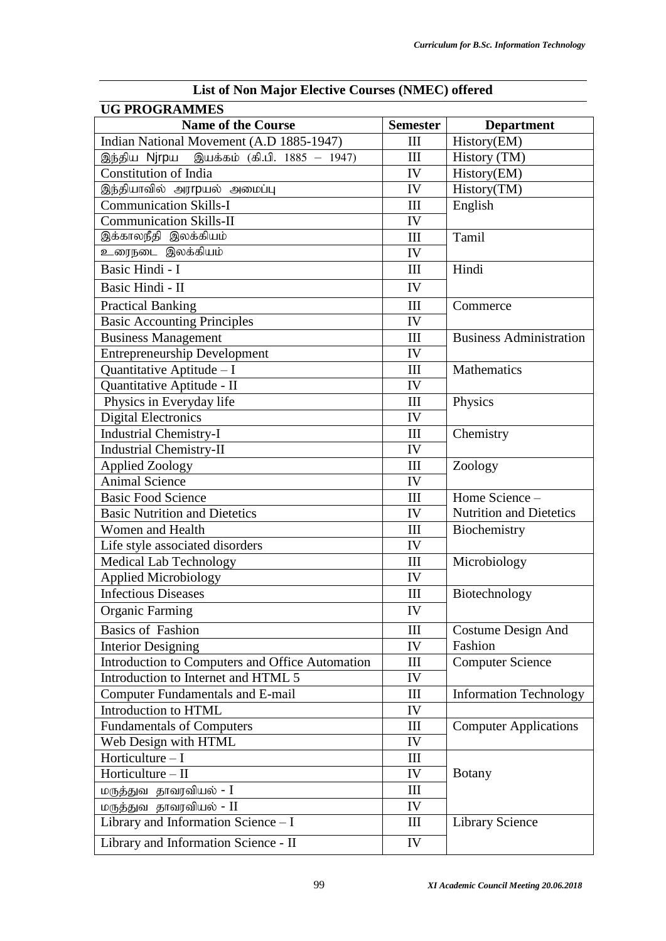| <b>List of Non Major Elective Courses (NMEC) offered</b> |                    |                                |  |  |  |  |
|----------------------------------------------------------|--------------------|--------------------------------|--|--|--|--|
| <b>UG PROGRAMMES</b>                                     |                    |                                |  |  |  |  |
| <b>Name of the Course</b>                                | <b>Semester</b>    | <b>Department</b>              |  |  |  |  |
| Indian National Movement (A.D 1885-1947)                 | Ш                  | History(EM)                    |  |  |  |  |
| இந்திய Njrpய இயக்கம் (கி.பி. 1885 – 1947)                | III                | History (TM)                   |  |  |  |  |
| <b>Constitution of India</b>                             | IV                 | History(EM)                    |  |  |  |  |
| இந்தியாவில் அர <b>rp</b> யல் அமைப்பு                     | IV                 | History(TM)                    |  |  |  |  |
| <b>Communication Skills-I</b>                            | III                | English                        |  |  |  |  |
| <b>Communication Skills-II</b>                           | IV                 |                                |  |  |  |  |
| இக்காலநீதி இலக்கியம்                                     | III                | Tamil                          |  |  |  |  |
| உரைநடை இலக்கியம்                                         | IV                 |                                |  |  |  |  |
| Basic Hindi - I                                          | III                | Hindi                          |  |  |  |  |
| Basic Hindi - II                                         | IV                 |                                |  |  |  |  |
| <b>Practical Banking</b>                                 | III                | Commerce                       |  |  |  |  |
| <b>Basic Accounting Principles</b>                       | IV                 |                                |  |  |  |  |
| <b>Business Management</b>                               | III                | <b>Business Administration</b> |  |  |  |  |
| <b>Entrepreneurship Development</b>                      | IV                 |                                |  |  |  |  |
| Quantitative Aptitude - I                                | III                | Mathematics                    |  |  |  |  |
| Quantitative Aptitude - II                               | IV                 |                                |  |  |  |  |
| Physics in Everyday life                                 | III                | Physics                        |  |  |  |  |
| <b>Digital Electronics</b>                               | IV                 |                                |  |  |  |  |
| <b>Industrial Chemistry-I</b>                            | III                | Chemistry                      |  |  |  |  |
| <b>Industrial Chemistry-II</b>                           | IV                 |                                |  |  |  |  |
| <b>Applied Zoology</b>                                   | $\mathop{\rm III}$ | Zoology                        |  |  |  |  |
| <b>Animal Science</b>                                    | IV                 |                                |  |  |  |  |
| <b>Basic Food Science</b>                                | III                | Home Science -                 |  |  |  |  |
| <b>Basic Nutrition and Dietetics</b>                     | IV                 | <b>Nutrition and Dietetics</b> |  |  |  |  |
| Women and Health                                         | III                | Biochemistry                   |  |  |  |  |
| Life style associated disorders                          | IV                 |                                |  |  |  |  |
| <b>Medical Lab Technology</b>                            | III                | Microbiology                   |  |  |  |  |
| <b>Applied Microbiology</b>                              | IV                 |                                |  |  |  |  |
| <b>Infectious Diseases</b>                               | Ш                  | Biotechnology                  |  |  |  |  |
| <b>Organic Farming</b>                                   | IV                 |                                |  |  |  |  |
| <b>Basics of Fashion</b>                                 | III                | Costume Design And             |  |  |  |  |
| <b>Interior Designing</b>                                | IV                 | Fashion                        |  |  |  |  |
| Introduction to Computers and Office Automation          | III                | <b>Computer Science</b>        |  |  |  |  |
| Introduction to Internet and HTML 5                      | IV                 |                                |  |  |  |  |
| <b>Computer Fundamentals and E-mail</b>                  | Ш                  | <b>Information Technology</b>  |  |  |  |  |
| Introduction to HTML                                     | IV                 |                                |  |  |  |  |
| <b>Fundamentals of Computers</b>                         | Ш                  | <b>Computer Applications</b>   |  |  |  |  |
| Web Design with HTML                                     | IV                 |                                |  |  |  |  |
| Horticulture $-I$                                        | Ш                  |                                |  |  |  |  |
| Horticulture $-$ II                                      | IV                 | <b>Botany</b>                  |  |  |  |  |
| <u>மருத்து</u> வ தாவரவியல் - I                           | III                |                                |  |  |  |  |
| மருத்துவ தாவரவியல் - II                                  | IV                 |                                |  |  |  |  |
| Library and Information Science - I                      | III                | <b>Library Science</b>         |  |  |  |  |
| Library and Information Science - II                     | IV                 |                                |  |  |  |  |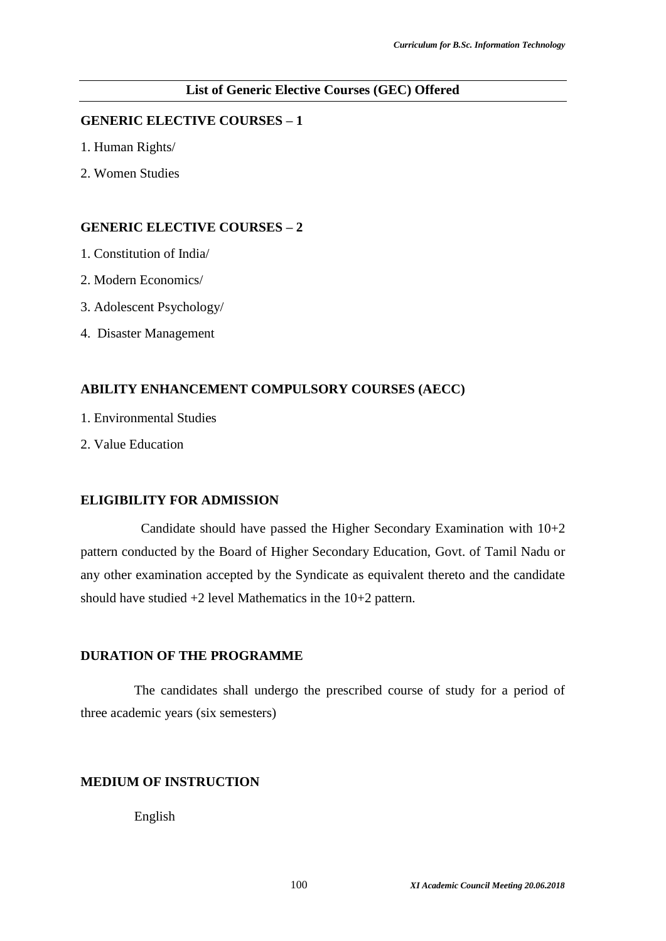#### **List of Generic Elective Courses (GEC) Offered**

#### **GENERIC ELECTIVE COURSES – 1**

- 1. Human Rights/
- 2. Women Studies

## **GENERIC ELECTIVE COURSES – 2**

- 1. Constitution of India/
- 2. Modern Economics/
- 3. Adolescent Psychology/
- 4. Disaster Management

#### **ABILITY ENHANCEMENT COMPULSORY COURSES (AECC)**

- 1. Environmental Studies
- 2. Value Education

#### **ELIGIBILITY FOR ADMISSION**

Candidate should have passed the Higher Secondary Examination with 10+2 pattern conducted by the Board of Higher Secondary Education, Govt. of Tamil Nadu or any other examination accepted by the Syndicate as equivalent thereto and the candidate should have studied +2 level Mathematics in the 10+2 pattern.

#### **DURATION OF THE PROGRAMME**

The candidates shall undergo the prescribed course of study for a period of three academic years (six semesters)

## **MEDIUM OF INSTRUCTION**

English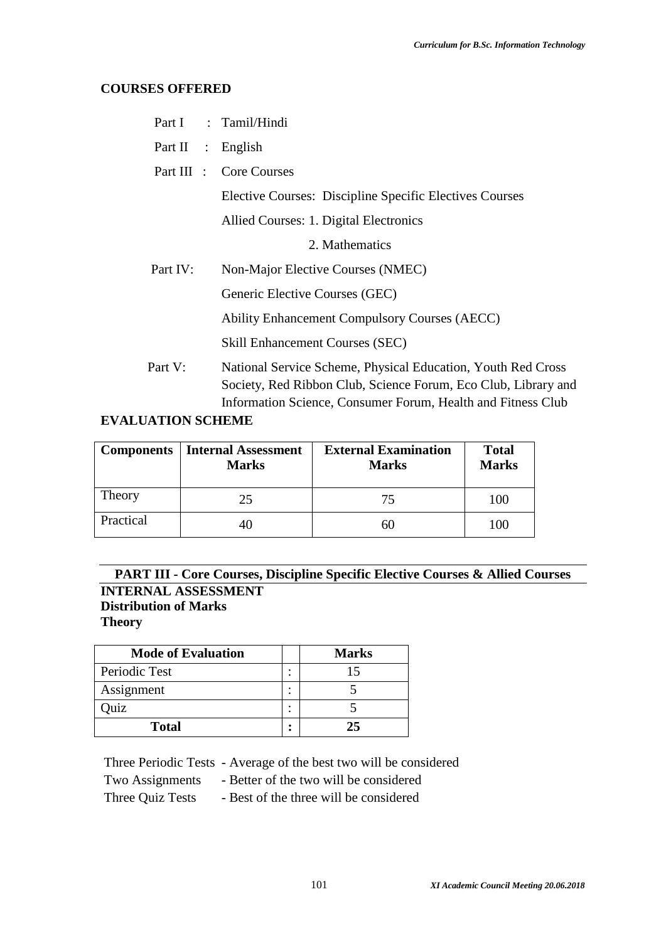## **COURSES OFFERED**

|                   | Part I : Tamil/Hindi                                                                                                           |
|-------------------|--------------------------------------------------------------------------------------------------------------------------------|
| Part II : English |                                                                                                                                |
|                   | Part III : Core Courses                                                                                                        |
|                   | Elective Courses: Discipline Specific Electives Courses                                                                        |
|                   | Allied Courses: 1. Digital Electronics                                                                                         |
|                   | 2. Mathematics                                                                                                                 |
| Part IV:          | Non-Major Elective Courses (NMEC)                                                                                              |
|                   | Generic Elective Courses (GEC)                                                                                                 |
|                   | <b>Ability Enhancement Compulsory Courses (AECC)</b>                                                                           |
|                   | <b>Skill Enhancement Courses (SEC)</b>                                                                                         |
| Part V:           | National Service Scheme, Physical Education, Youth Red Cross<br>Society, Red Ribbon Club, Science Forum, Eco Club, Library and |

Information Science, Consumer Forum, Health and Fitness Club

## **EVALUATION SCHEME**

|           | Components   Internal Assessment<br><b>Marks</b> | <b>External Examination</b><br><b>Marks</b> | <b>Total</b><br><b>Marks</b> |
|-----------|--------------------------------------------------|---------------------------------------------|------------------------------|
| Theory    | 25                                               | 75                                          | 100                          |
| Practical |                                                  | 60                                          | 100                          |

## **PART III - Core Courses, Discipline Specific Elective Courses & Allied Courses INTERNAL ASSESSMENT Distribution of Marks Theory**

| <b>Mode of Evaluation</b> |        | <b>Marks</b> |
|---------------------------|--------|--------------|
| Periodic Test             | ٠<br>٠ | 15           |
| Assignment                | ٠<br>٠ |              |
| Quiz                      | ٠<br>٠ |              |
| <b>Total</b>              | ٠      | 25           |

Three Periodic Tests - Average of the best two will be considered

Two Assignments - Better of the two will be considered

Three Quiz Tests - Best of the three will be considered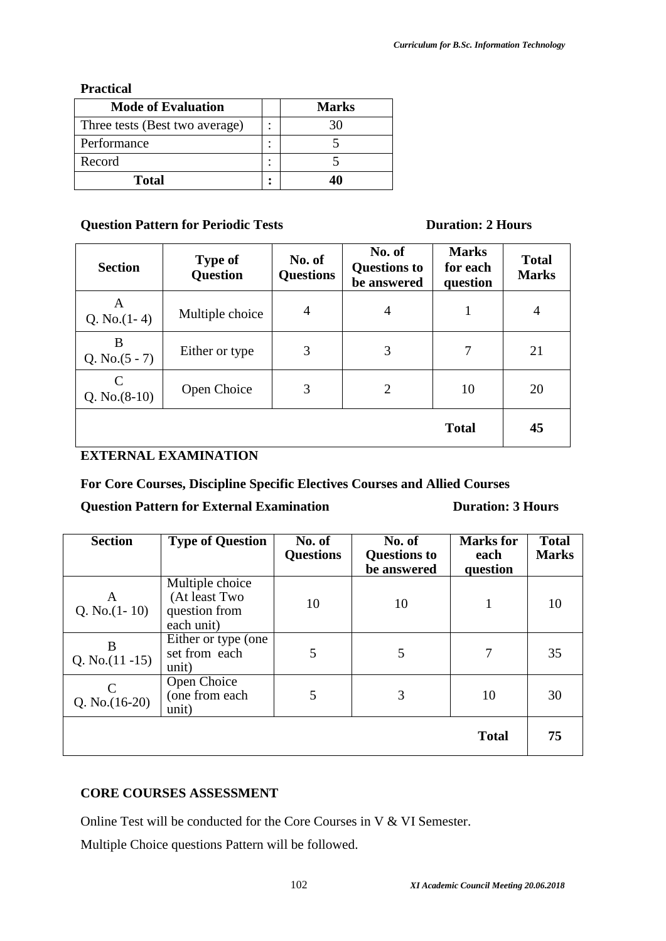## **Practical**

| <b>Mode of Evaluation</b>      | <b>Marks</b> |
|--------------------------------|--------------|
| Three tests (Best two average) |              |
| Performance                    |              |
| Record                         |              |
| Total                          |              |

## **Question Pattern for Periodic Tests Duration: 2 Hours**

| <b>Section</b>                  | <b>Type of</b><br><b>Question</b> | No. of<br><b>Questions</b> | No. of<br><b>Questions to</b><br>be answered | <b>Marks</b><br>for each<br>question | <b>Total</b><br><b>Marks</b> |
|---------------------------------|-----------------------------------|----------------------------|----------------------------------------------|--------------------------------------|------------------------------|
| A<br>Q. No. $(1-4)$             | Multiple choice                   | 4                          | $\overline{4}$                               | 1                                    | $\overline{4}$               |
| B<br>Q. No. $(5 - 7)$           | Either or type                    | 3                          | 3                                            | 7                                    | 21                           |
| $\mathsf{C}$<br>Q. No. $(8-10)$ | Open Choice                       | 3                          | 2                                            | 10                                   | 20                           |
|                                 |                                   |                            |                                              | <b>Total</b>                         | 45                           |

## **EXTERNAL EXAMINATION**

**For Core Courses, Discipline Specific Electives Courses and Allied Courses** 

## **Question Pattern for External Examination Duration: 3 Hours**

| <b>Section</b>          | <b>Type of Question</b>                                         | No. of<br><b>Questions</b> | No. of<br><b>Questions to</b><br>be answered | <b>Marks</b> for<br>each<br>question | <b>Total</b><br><b>Marks</b> |
|-------------------------|-----------------------------------------------------------------|----------------------------|----------------------------------------------|--------------------------------------|------------------------------|
| A<br>Q. No. $(1-10)$    | Multiple choice<br>(At least Two<br>question from<br>each unit) | 10                         | 10                                           |                                      | 10                           |
| B<br>Q. No. $(11 - 15)$ | Either or type (one<br>set from each<br>unit)                   | 5                          | 5                                            | 7                                    | 35                           |
| Q. No. $(16-20)$        | Open Choice<br>(one from each<br>unit)                          | 5                          | 3                                            | 10                                   | 30                           |
|                         |                                                                 |                            |                                              | <b>Total</b>                         | 75                           |

## **CORE COURSES ASSESSMENT**

Online Test will be conducted for the Core Courses in V & VI Semester.

Multiple Choice questions Pattern will be followed.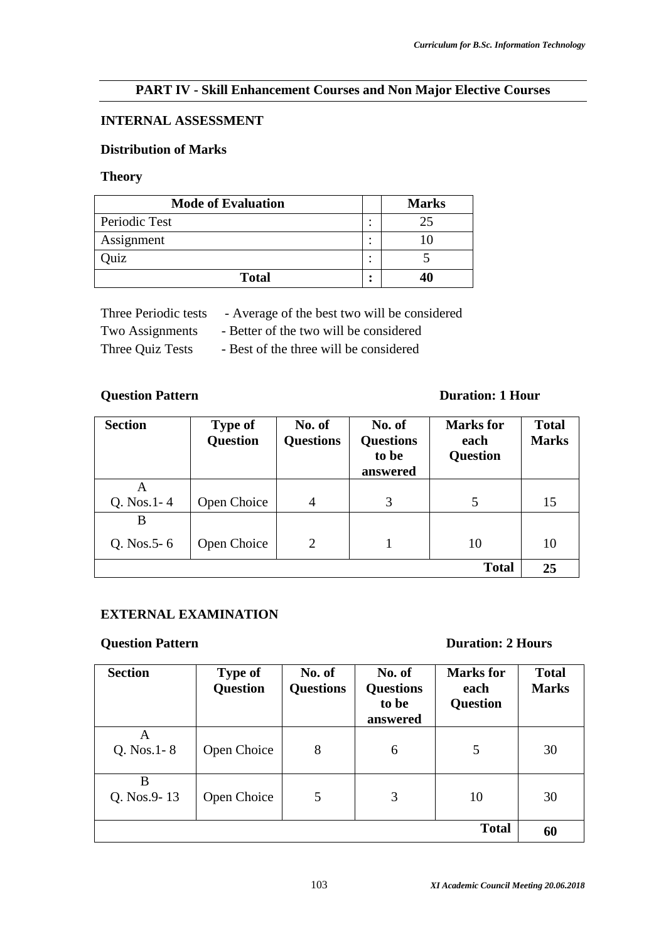## **PART IV - Skill Enhancement Courses and Non Major Elective Courses**

## **INTERNAL ASSESSMENT**

## **Distribution of Marks**

#### **Theory**

| <b>Mode of Evaluation</b> |        | <b>Marks</b> |
|---------------------------|--------|--------------|
| Periodic Test             | ٠      | 25           |
| Assignment                | ٠<br>٠ |              |
| uiz                       | ۰      |              |
| <b>Total</b>              | ٠      |              |

| Three Periodic tests | - Average of the best two will be considered |  |
|----------------------|----------------------------------------------|--|
|----------------------|----------------------------------------------|--|

Two Assignments - Better of the two will be considered

Three Quiz Tests - Best of the three will be considered

## **Question Pattern Duration: 1 Hour**

| <b>Section</b>       | <b>Type of</b><br><b>Question</b> | No. of<br><b>Questions</b> | No. of<br><b>Questions</b><br>to be<br>answered | <b>Marks</b> for<br>each<br><b>Question</b> | <b>Total</b><br><b>Marks</b> |
|----------------------|-----------------------------------|----------------------------|-------------------------------------------------|---------------------------------------------|------------------------------|
| A<br>Q. Nos.1-4      | Open Choice                       | 4                          | 3                                               | 5                                           | 15                           |
| B<br>Q. Nos. $5 - 6$ | Open Choice                       | $\overline{2}$             |                                                 | 10                                          | 10                           |
|                      |                                   |                            |                                                 | <b>Total</b>                                | 25                           |

## **EXTERNAL EXAMINATION**

## **Question Pattern Duration: 2 Hours**

| <b>Section</b>     | <b>Type of</b><br><b>Question</b> | No. of<br><b>Questions</b> | No. of<br><b>Questions</b><br>to be<br>answered | <b>Marks</b> for<br>each<br><b>Question</b> | <b>Total</b><br><b>Marks</b> |
|--------------------|-----------------------------------|----------------------------|-------------------------------------------------|---------------------------------------------|------------------------------|
| A<br>Q. Nos. 1 - 8 | Open Choice                       | 8                          | 6                                               | 5                                           | 30                           |
| B<br>Q. Nos.9-13   | Open Choice                       | 5                          | 3                                               | 10                                          | 30                           |
|                    |                                   |                            |                                                 | <b>Total</b>                                | 60                           |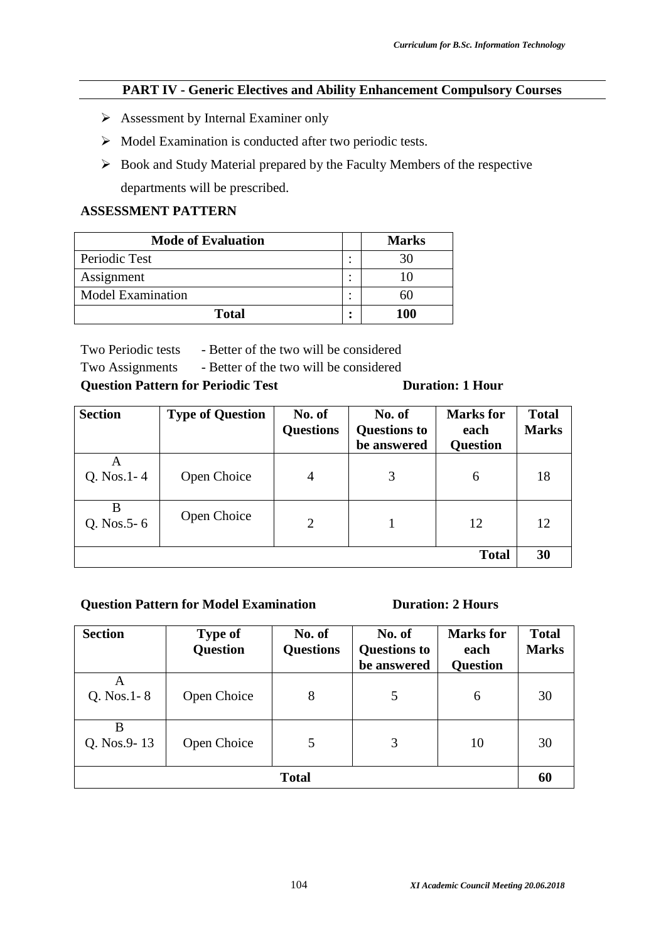## **PART IV - Generic Electives and Ability Enhancement Compulsory Courses**

- $\triangleright$  Assessment by Internal Examiner only
- $\triangleright$  Model Examination is conducted after two periodic tests.
- $\triangleright$  Book and Study Material prepared by the Faculty Members of the respective departments will be prescribed.

## **ASSESSMENT PATTERN**

| <b>Mode of Evaluation</b> |        | <b>Marks</b> |
|---------------------------|--------|--------------|
| Periodic Test             | ٠<br>٠ |              |
| Assignment                | ٠<br>٠ |              |
| <b>Model Examination</b>  | ٠      |              |
| <b>Total</b>              | ٠      | 100          |

Two Periodic tests - Better of the two will be considered

Two Assignments - Better of the two will be considered

## **Question Pattern for Periodic Test Duration: 1 Hour**

| <b>Section</b>       | <b>Type of Question</b> | No. of<br><b>Questions</b> | No. of<br><b>Questions to</b><br>be answered | <b>Marks</b> for<br>each<br><b>Question</b> | <b>Total</b><br><b>Marks</b> |
|----------------------|-------------------------|----------------------------|----------------------------------------------|---------------------------------------------|------------------------------|
| A<br>$Q. Nos. 1 - 4$ | Open Choice             | $\overline{4}$             | 3                                            | 6                                           | 18                           |
| B<br>Q. Nos. $5 - 6$ | Open Choice             | $\overline{2}$             |                                              | 12                                          | 12                           |
|                      |                         |                            |                                              | <b>Total</b>                                | 30                           |

## **Question Pattern for Model Examination Duration: 2 Hours**

| <b>Section</b>       | <b>Type of</b><br><b>Question</b> | No. of<br><b>Questions</b> | No. of<br><b>Questions to</b><br>be answered | <b>Marks</b> for<br>each<br><b>Question</b> | <b>Total</b><br><b>Marks</b> |
|----------------------|-----------------------------------|----------------------------|----------------------------------------------|---------------------------------------------|------------------------------|
| A<br>Q. Nos. $1 - 8$ | Open Choice                       | 8                          | 5                                            | 6                                           | 30                           |
| B<br>Q. Nos.9-13     | Open Choice                       | 5                          | 3                                            | 10                                          | 30                           |
| <b>Total</b>         |                                   |                            |                                              |                                             |                              |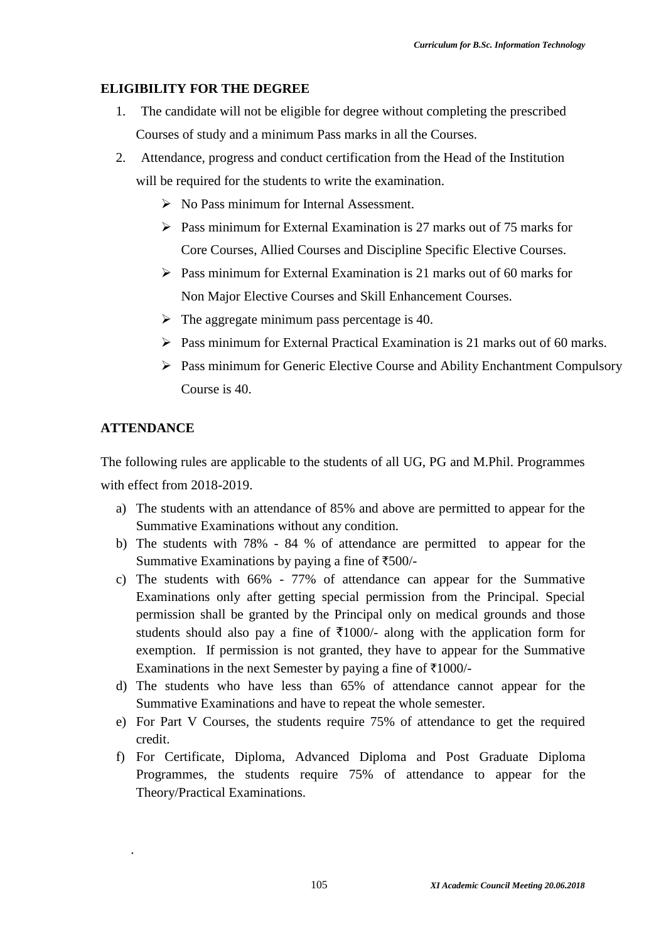## **ELIGIBILITY FOR THE DEGREE**

- 1. The candidate will not be eligible for degree without completing the prescribed Courses of study and a minimum Pass marks in all the Courses.
- 2. Attendance, progress and conduct certification from the Head of the Institution will be required for the students to write the examination.
	- $\triangleright$  No Pass minimum for Internal Assessment.
	- $\triangleright$  Pass minimum for External Examination is 27 marks out of 75 marks for Core Courses, Allied Courses and Discipline Specific Elective Courses.
	- $\triangleright$  Pass minimum for External Examination is 21 marks out of 60 marks for Non Major Elective Courses and Skill Enhancement Courses.
	- $\triangleright$  The aggregate minimum pass percentage is 40.
	- $\triangleright$  Pass minimum for External Practical Examination is 21 marks out of 60 marks.
	- $\triangleright$  Pass minimum for Generic Elective Course and Ability Enchantment Compulsory Course is 40.

## **ATTENDANCE**

.

The following rules are applicable to the students of all UG, PG and M.Phil. Programmes with effect from 2018-2019.

- a) The students with an attendance of 85% and above are permitted to appear for the Summative Examinations without any condition.
- b) The students with 78% 84 % of attendance are permitted to appear for the Summative Examinations by paying a fine of  $\text{\textsterling}500/-$
- c) The students with 66% 77% of attendance can appear for the Summative Examinations only after getting special permission from the Principal. Special permission shall be granted by the Principal only on medical grounds and those students should also pay a fine of  $\overline{5}1000$ /- along with the application form for exemption. If permission is not granted, they have to appear for the Summative Examinations in the next Semester by paying a fine of  $\overline{\tau}1000$ /-
- d) The students who have less than 65% of attendance cannot appear for the Summative Examinations and have to repeat the whole semester.
- e) For Part V Courses, the students require 75% of attendance to get the required credit.
- f) For Certificate, Diploma, Advanced Diploma and Post Graduate Diploma Programmes, the students require 75% of attendance to appear for the Theory/Practical Examinations.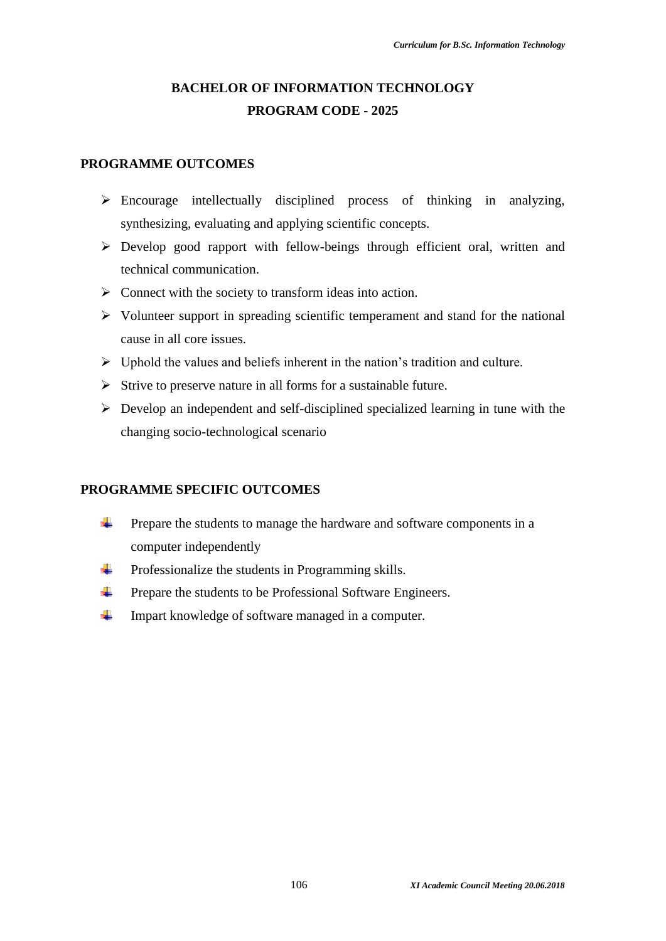# **BACHELOR OF INFORMATION TECHNOLOGY PROGRAM CODE - 2025**

## **PROGRAMME OUTCOMES**

- $\triangleright$  Encourage intellectually disciplined process of thinking in analyzing, synthesizing, evaluating and applying scientific concepts.
- Develop good rapport with fellow-beings through efficient oral, written and technical communication.
- $\triangleright$  Connect with the society to transform ideas into action.
- $\triangleright$  Volunteer support in spreading scientific temperament and stand for the national cause in all core issues.
- $\triangleright$  Uphold the values and beliefs inherent in the nation's tradition and culture.
- $\triangleright$  Strive to preserve nature in all forms for a sustainable future.
- $\triangleright$  Develop an independent and self-disciplined specialized learning in tune with the changing socio-technological scenario

## **PROGRAMME SPECIFIC OUTCOMES**

- ÷. Prepare the students to manage the hardware and software components in a computer independently
- a. Professionalize the students in Programming skills.
- ÷ Prepare the students to be Professional Software Engineers.
- ÷. Impart knowledge of software managed in a computer.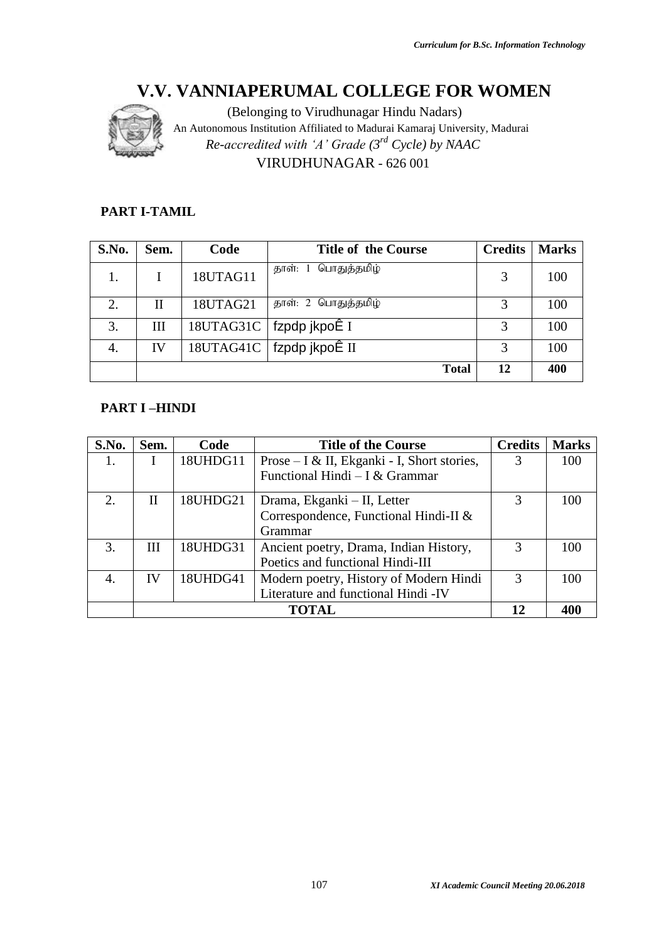

(Belonging to Virudhunagar Hindu Nadars) An Autonomous Institution Affiliated to Madurai Kamaraj University, Madurai *Re-accredited with 'A' Grade (3rd Cycle) by NAAC* VIRUDHUNAGAR - 626 001

## **PART I-TAMIL**

| S.No. | Sem. | Code      | <b>Title of the Course</b>              | <b>Credits</b> | <b>Marks</b> |
|-------|------|-----------|-----------------------------------------|----------------|--------------|
|       |      | 18UTAG11  | பொதுத்தமிழ்<br>தாள்: 1                  | 3              | 100          |
| 2.    | Н    | 18UTAG21  | தாள்: 2 பொதுத்தமிழ்                     | 3              | 100          |
| 3.    | Ш    | 18UTAG31C | fzpdp jkpoÊ I                           |                | 100          |
| 4.    | IV   |           | $18UTAG41C$   fzpdp jkpo $\tilde{E}$ II | 3              | 100          |
|       |      |           | <b>Total</b>                            | 12             | 400          |

## **PART I –HINDI**

| S.No. | Sem. | Code     | <b>Title of the Course</b>                  | <b>Credits</b> | <b>Marks</b> |
|-------|------|----------|---------------------------------------------|----------------|--------------|
| 1.    |      | 18UHDG11 | Prose – I & II, Ekganki - I, Short stories, |                | 100          |
|       |      |          | Functional Hindi – I & Grammar              |                |              |
| 2.    | H    | 18UHDG21 | Drama, Ekganki – II, Letter                 | $\mathcal{R}$  | 100          |
|       |      |          | Correspondence, Functional Hindi-II &       |                |              |
|       |      |          | Grammar                                     |                |              |
| 3.    | Ш    | 18UHDG31 | Ancient poetry, Drama, Indian History,      |                | 100          |
|       |      |          | Poetics and functional Hindi-III            |                |              |
| 4.    | IV   | 18UHDG41 | Modern poetry, History of Modern Hindi      | $\mathcal{R}$  | 100          |
|       |      |          | Literature and functional Hindi -IV         |                |              |
|       |      |          |                                             |                |              |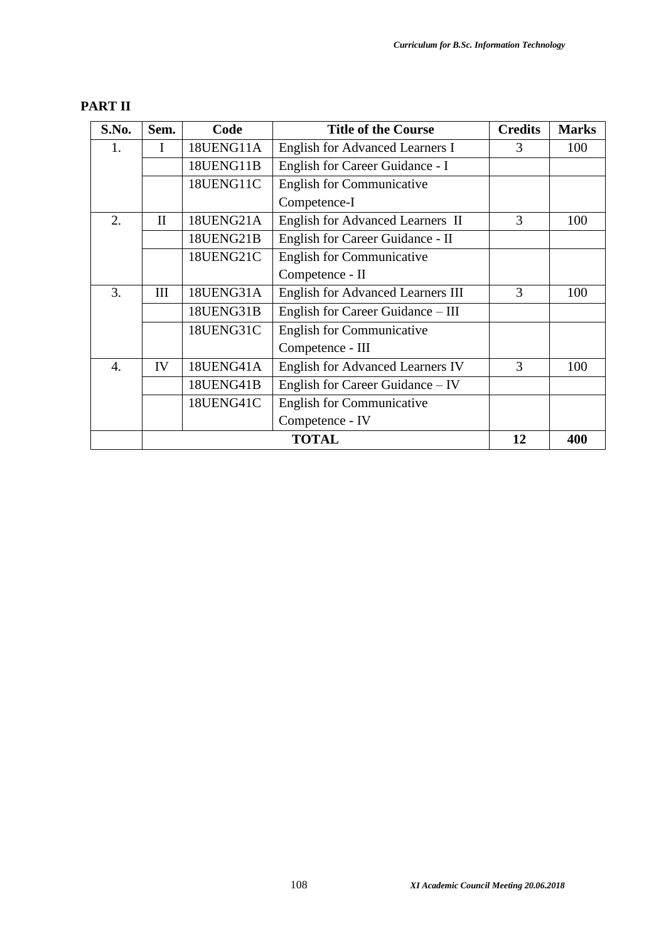| S.No. | Sem.         | Code      | <b>Title of the Course</b>               | <b>Credits</b> | <b>Marks</b> |
|-------|--------------|-----------|------------------------------------------|----------------|--------------|
| 1.    | I            | 18UENG11A | English for Advanced Learners I          | 3              | 100          |
|       |              | 18UENG11B | English for Career Guidance - I          |                |              |
|       |              | 18UENG11C | <b>English for Communicative</b>         |                |              |
|       |              |           | Competence-I                             |                |              |
| 2.    | $\mathbf{I}$ | 18UENG21A | English for Advanced Learners II         | 3              | 100          |
|       |              | 18UENG21B | English for Career Guidance - II         |                |              |
|       |              | 18UENG21C | <b>English for Communicative</b>         |                |              |
|       |              |           | Competence - II                          |                |              |
| 3.    | Ш            | 18UENG31A | <b>English for Advanced Learners III</b> | 3              | 100          |
|       |              | 18UENG31B | English for Career Guidance – III        |                |              |
|       |              | 18UENG31C | <b>English for Communicative</b>         |                |              |
|       |              |           | Competence - III                         |                |              |
| 4.    | IV           | 18UENG41A | <b>English for Advanced Learners IV</b>  | 3              | 100          |
|       |              | 18UENG41B | English for Career Guidance – IV         |                |              |
|       |              | 18UENG41C | <b>English for Communicative</b>         |                |              |
|       |              |           | Competence - IV                          |                |              |
|       |              |           | 12                                       | 400            |              |

## **PART II**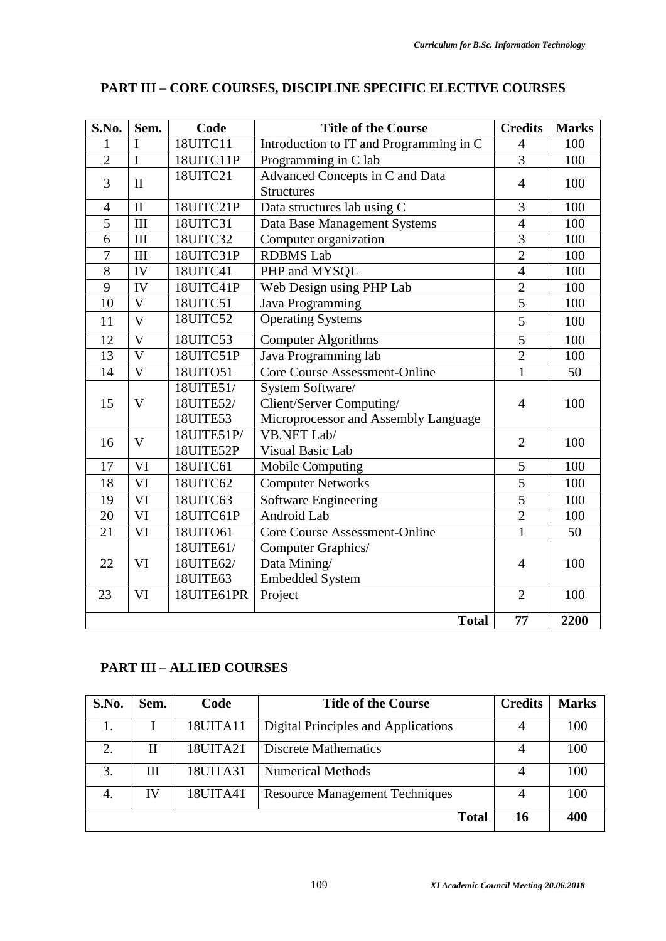| S.No.          | Sem.                             | Code       | <b>Title of the Course</b>              | <b>Credits</b> | <b>Marks</b> |
|----------------|----------------------------------|------------|-----------------------------------------|----------------|--------------|
| 1              | I                                | 18UITC11   | Introduction to IT and Programming in C | $\overline{4}$ | 100          |
| $\overline{2}$ | $\overline{I}$                   | 18UITC11P  | Programming in C lab                    | $\overline{3}$ | 100          |
| 3              | $\mathbf{I}$                     | 18UITC21   | Advanced Concepts in C and Data         | $\overline{4}$ | 100          |
|                |                                  |            | <b>Structures</b>                       |                |              |
| $\overline{4}$ | $\mathbf{I}$                     | 18UITC21P  | Data structures lab using C             | $\overline{3}$ | 100          |
| 5              | III                              | 18UITC31   | Data Base Management Systems            | $\overline{4}$ | 100          |
| 6              | $\rm III$                        | 18UITC32   | Computer organization                   | $\overline{3}$ | 100          |
| $\overline{7}$ | $\mathop{\mathrm{III}}\nolimits$ | 18UITC31P  | <b>RDBMS</b> Lab                        | $\overline{2}$ | 100          |
| $\overline{8}$ | IV                               | 18UITC41   | PHP and MYSQL                           | $\overline{4}$ | 100          |
| 9              | IV                               | 18UITC41P  | Web Design using PHP Lab                | $\overline{2}$ | 100          |
| 10             | $\mathbf{V}$                     | 18UITC51   | Java Programming                        | $\overline{5}$ | 100          |
| 11             | $\overline{V}$                   | 18UITC52   | <b>Operating Systems</b>                | 5              | 100          |
| 12             | $\mathbf V$                      | 18UITC53   | <b>Computer Algorithms</b>              | 5              | 100          |
| 13             | $\overline{V}$                   | 18UITC51P  | Java Programming lab                    | $\overline{2}$ | 100          |
| 14             | $\overline{V}$                   | 18UITO51   | <b>Core Course Assessment-Online</b>    | $\overline{1}$ | 50           |
|                |                                  | 18UITE51/  | System Software/                        |                |              |
| 15             | $\mathbf{V}$                     | 18UITE52/  | Client/Server Computing/                | $\overline{4}$ | 100          |
|                |                                  | 18UITE53   | Microprocessor and Assembly Language    |                |              |
| 16             | $\mathbf{V}$                     | 18UITE51P/ | VB.NET Lab/                             | $\overline{2}$ | 100          |
|                |                                  | 18UITE52P  | Visual Basic Lab                        |                |              |
| 17             | VI                               | 18UITC61   | <b>Mobile Computing</b>                 | 5              | 100          |
| 18             | VI                               | 18UITC62   | <b>Computer Networks</b>                | $\overline{5}$ | 100          |
| 19             | VI                               | 18UITC63   | Software Engineering                    | $\overline{5}$ | 100          |
| 20             | VI                               | 18UITC61P  | Android Lab                             | $\overline{2}$ | 100          |
| 21             | VI                               | 18UITO61   | Core Course Assessment-Online           | $\mathbf{1}$   | 50           |
|                |                                  | 18UITE61/  | Computer Graphics/                      |                |              |
| 22             | VI                               | 18UITE62/  | Data Mining/                            | $\overline{4}$ | 100          |
|                |                                  | 18UITE63   | <b>Embedded System</b>                  |                |              |
| 23             | VI                               | 18UITE61PR | Project                                 | $\overline{2}$ | 100          |
|                |                                  |            | <b>Total</b>                            | 77             | 2200         |

## **PART III – CORE COURSES, DISCIPLINE SPECIFIC ELECTIVE COURSES**

## **PART III – ALLIED COURSES**

| S.No. | Sem. | Code     | <b>Title of the Course</b>            | <b>Credits</b> | <b>Marks</b> |
|-------|------|----------|---------------------------------------|----------------|--------------|
|       |      | 18UITA11 | Digital Principles and Applications   | 4              | 100          |
| 2.    | П    | 18UITA21 | <b>Discrete Mathematics</b>           | 4              | 100          |
| 3.    | Ш    | 18UITA31 | <b>Numerical Methods</b>              | 4              | 100          |
| 4.    | IV   | 18UITA41 | <b>Resource Management Techniques</b> | 4              | 100          |
|       |      |          | <b>Total</b>                          | 16             | 400          |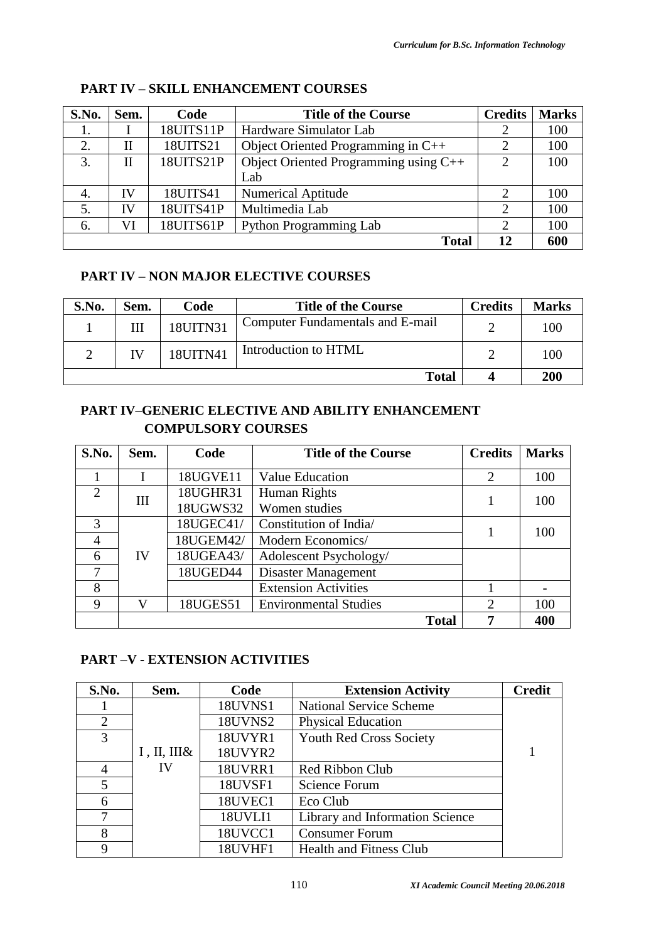| S.No. | Sem. | Code      | <b>Title of the Course</b>            | <b>Credits</b> | <b>Marks</b> |
|-------|------|-----------|---------------------------------------|----------------|--------------|
| 1.    |      | 18UITS11P | Hardware Simulator Lab                |                | 100          |
| 2.    | Н    | 18UITS21  | Object Oriented Programming in C++    |                | 100          |
| 3.    | Н    | 18UITS21P | Object Oriented Programming using C++ | 2              | 100          |
|       |      |           | Lab                                   |                |              |
| 4.    | IV   | 18UITS41  | Numerical Aptitude                    | 2              | 100          |
| 5.    | IV   | 18UITS41P | Multimedia Lab                        | $\mathcal{D}$  | 100          |
| 6.    | VI   | 18UITS61P | <b>Python Programming Lab</b>         | 2              | 100          |
|       |      |           | <b>Total</b>                          | 12             | 600          |

## **PART IV – SKILL ENHANCEMENT COURSES**

## **PART IV – NON MAJOR ELECTIVE COURSES**

| S.No. | Sem. | Code            | <b>Title of the Course</b>       | <b>Credits</b> | <b>Marks</b> |
|-------|------|-----------------|----------------------------------|----------------|--------------|
|       | Ш    | <b>18UITN31</b> | Computer Fundamentals and E-mail |                | 100          |
|       | IV   | 18UITN41        | Introduction to HTML             |                | 100          |
|       |      |                 | <b>Total</b>                     |                | 200          |

## **PART IV–GENERIC ELECTIVE AND ABILITY ENHANCEMENT COMPULSORY COURSES**

| S.No.                       | Sem. | Code      | <b>Title of the Course</b>   | <b>Credits</b> | <b>Marks</b> |
|-----------------------------|------|-----------|------------------------------|----------------|--------------|
|                             |      | 18UGVE11  | Value Education              | 2              | 100          |
| $\mathcal{D}_{\mathcal{L}}$ | III  | 18UGHR31  | Human Rights                 |                | 100          |
|                             |      | 18UGWS32  | Women studies                |                |              |
| 3                           |      | 18UGEC41/ | Constitution of India/       |                | 100          |
| $\overline{4}$              |      | 18UGEM42/ | Modern Economics/            |                |              |
| 6                           | IV   | 18UGEA43/ | Adolescent Psychology/       |                |              |
| 7                           |      | 18UGED44  | Disaster Management          |                |              |
| 8                           |      |           | <b>Extension Activities</b>  |                |              |
| 9                           | V    | 18UGES51  | <b>Environmental Studies</b> | 2              | 100          |
|                             |      |           | <b>Total</b>                 |                | 400          |

## **PART –V - EXTENSION ACTIVITIES**

| S.No.          | Sem.                 | Code           | <b>Extension Activity</b>       | <b>Credit</b> |
|----------------|----------------------|----------------|---------------------------------|---------------|
|                |                      | <b>18UVNS1</b> | <b>National Service Scheme</b>  |               |
| $\overline{2}$ |                      | <b>18UVNS2</b> | <b>Physical Education</b>       |               |
| 3              |                      | 18UVYR1        | <b>Youth Red Cross Society</b>  |               |
|                | $I$ , $II$ , $III$ & | 18UVYR2        |                                 |               |
| 4              | IV                   | <b>18UVRR1</b> | Red Ribbon Club                 |               |
| 5              |                      | 18UVSF1        | Science Forum                   |               |
| 6              |                      | 18UVEC1        | Eco Club                        |               |
| 7              |                      | 18UVLI1        | Library and Information Science |               |
| 8              |                      | 18UVCC1        | <b>Consumer Forum</b>           |               |
| 9              |                      | 18UVHF1        | <b>Health and Fitness Club</b>  |               |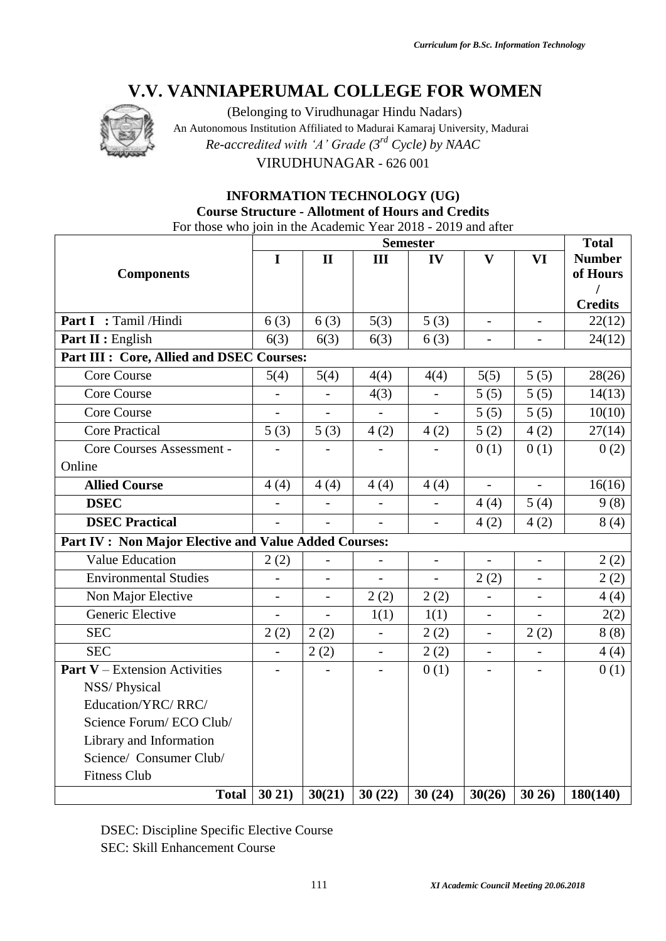

(Belonging to Virudhunagar Hindu Nadars) An Autonomous Institution Affiliated to Madurai Kamaraj University, Madurai *Re-accredited with 'A' Grade (3rd Cycle) by NAAC* VIRUDHUNAGAR - 626 001

## **INFORMATION TECHNOLOGY (UG) Course Structure - Allotment of Hours and Credits** For those who join in the Academic Year 2018 - 2019 and after

|                                                       |                          |                |                | <b>Semester</b> |                          |                          | <b>Total</b>   |
|-------------------------------------------------------|--------------------------|----------------|----------------|-----------------|--------------------------|--------------------------|----------------|
|                                                       | $\mathbf I$              | $\mathbf{I}$   | III            | IV              | $\mathbf{V}$             | <b>VI</b>                | <b>Number</b>  |
| <b>Components</b>                                     |                          |                |                |                 |                          |                          | of Hours       |
|                                                       |                          |                |                |                 |                          |                          | <b>Credits</b> |
| Part I : Tamil /Hindi                                 | 6(3)                     | 6(3)           | 5(3)           | 5(3)            | $\blacksquare$           | $\overline{a}$           | 22(12)         |
| Part II : English                                     | 6(3)                     | 6(3)           | 6(3)           | 6(3)            | $\overline{a}$           | $\overline{a}$           | 24(12)         |
| Part III : Core, Allied and DSEC Courses:             |                          |                |                |                 |                          |                          |                |
| <b>Core Course</b>                                    | 5(4)                     | 5(4)           | 4(4)           | 4(4)            | 5(5)                     | 5(5)                     | 28(26)         |
| <b>Core Course</b>                                    |                          |                | 4(3)           |                 | 5(5)                     | 5(5)                     | 14(13)         |
| Core Course                                           |                          |                |                | $\overline{a}$  | 5(5)                     | 5(5)                     | 10(10)         |
| <b>Core Practical</b>                                 | 5(3)                     | 5(3)           | 4(2)           | 4(2)            | 5(2)                     | 4(2)                     | 27(14)         |
| Core Courses Assessment -                             |                          | $\overline{a}$ |                | $\overline{a}$  | 0(1)                     | 0(1)                     | 0(2)           |
| Online                                                |                          |                |                |                 |                          |                          |                |
| <b>Allied Course</b>                                  | 4(4)                     | 4(4)           | 4(4)           | 4(4)            |                          |                          | 16(16)         |
| <b>DSEC</b>                                           |                          |                |                | $\overline{a}$  | 4(4)                     | 5(4)                     | 9(8)           |
| <b>DSEC Practical</b>                                 |                          |                |                | $\overline{a}$  | 4(2)                     | 4(2)                     | 8(4)           |
| Part IV : Non Major Elective and Value Added Courses: |                          |                |                |                 |                          |                          |                |
| <b>Value Education</b>                                | 2(2)                     |                |                | $\overline{a}$  | $\overline{a}$           | $\overline{a}$           | 2(2)           |
| <b>Environmental Studies</b>                          | $\overline{\phantom{0}}$ | $\overline{a}$ | $\overline{a}$ | $\overline{a}$  | 2(2)                     | $\overline{\phantom{a}}$ | 2(2)           |
| Non Major Elective                                    | $\overline{a}$           | $\overline{a}$ | 2(2)           | 2(2)            | $\overline{a}$           | $\overline{\phantom{a}}$ | 4(4)           |
| Generic Elective                                      | $\overline{\phantom{0}}$ | $\blacksquare$ | 1(1)           | 1(1)            | $\overline{\phantom{0}}$ |                          | 2(2)           |
| <b>SEC</b>                                            | 2(2)                     | 2(2)           | $\overline{a}$ | 2(2)            | $\overline{\phantom{a}}$ | 2(2)                     | 8(8)           |
| <b>SEC</b>                                            |                          | 2(2)           |                | 2(2)            |                          |                          | 4(4)           |
| <b>Part V</b> – Extension Activities                  |                          |                |                | 0(1)            | $\overline{a}$           |                          | 0(1)           |
| NSS/Physical                                          |                          |                |                |                 |                          |                          |                |
| Education/YRC/RRC/                                    |                          |                |                |                 |                          |                          |                |
| Science Forum/ECO Club/                               |                          |                |                |                 |                          |                          |                |
| Library and Information                               |                          |                |                |                 |                          |                          |                |
| Science/ Consumer Club/                               |                          |                |                |                 |                          |                          |                |
| <b>Fitness Club</b>                                   |                          |                |                |                 |                          |                          |                |
| <b>Total</b>                                          | 3021)                    | 30(21)         | 30(22)         | 30(24)          | 30(26)                   | 3026                     | 180(140)       |

DSEC: Discipline Specific Elective Course SEC: Skill Enhancement Course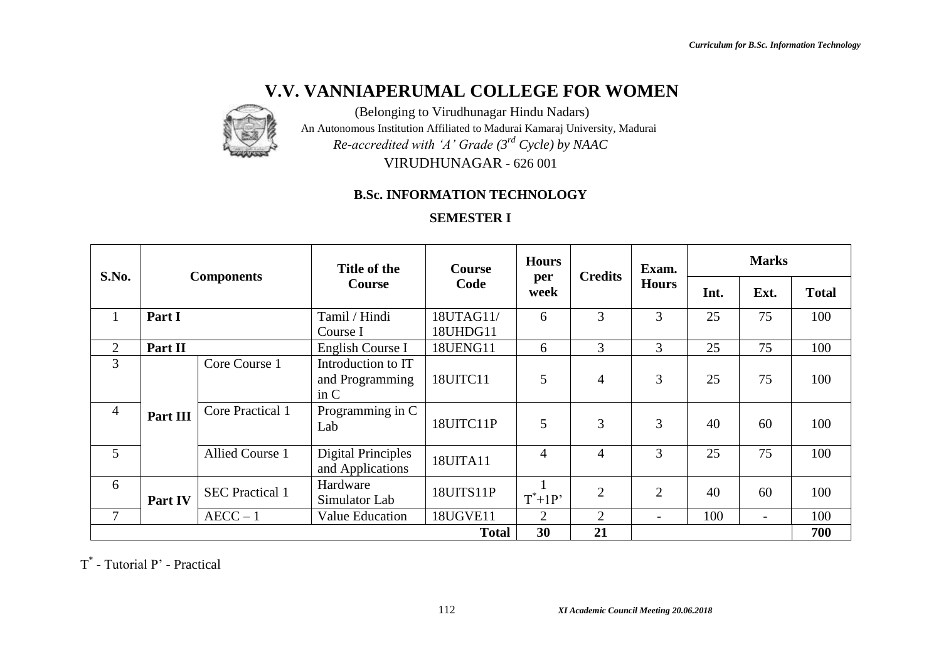

(Belonging to Virudhunagar Hindu Nadars) An Autonomous Institution Affiliated to Madurai Kamaraj University, Madurai *Re-accredited with 'A' Grade (3rd Cycle) by NAAC* VIRUDHUNAGAR - 626 001

## **B.Sc. INFORMATION TECHNOLOGY**

## **SEMESTER I**

| S.No.          |          | <b>Components</b>      | Title of the                                  | <b>Course</b> | <b>Hours</b>                | <b>Credits</b> | Exam.        |      | <b>Marks</b>             |              |
|----------------|----------|------------------------|-----------------------------------------------|---------------|-----------------------------|----------------|--------------|------|--------------------------|--------------|
|                |          |                        | Code<br><b>Course</b>                         |               | per<br>week                 |                | <b>Hours</b> | Int. | Ext.                     | <b>Total</b> |
| $\mathbf{1}$   | Part I   |                        | Tamil / Hindi                                 | 18UTAG11/     | 6                           | 3              | 3            | 25   | 75                       | 100          |
|                |          |                        | Course I                                      | 18UHDG11      |                             |                |              |      |                          |              |
| $\overline{2}$ | Part II  |                        | English Course I                              | 18UENG11      | 6                           | 3              | 3            | 25   | 75                       | 100          |
| 3              |          | Core Course 1          | Introduction to IT<br>and Programming<br>in C | 18UITC11      | 5                           | $\overline{4}$ | 3            | 25   | 75                       | 100          |
| $\overline{4}$ | Part III | Core Practical 1       | Programming in C<br>Lab                       | 18UITC11P     | 5                           | 3              | 3            | 40   | 60                       | 100          |
| 5              |          | <b>Allied Course 1</b> | <b>Digital Principles</b><br>and Applications | 18UITA11      | $\overline{4}$              | $\overline{4}$ | 3            | 25   | 75                       | 100          |
| 6              | Part IV  | <b>SEC</b> Practical 1 | Hardware<br>Simulator Lab                     | 18UITS11P     | $T^*+1P$                    | 2              | 2            | 40   | 60                       | 100          |
| $\tau$         |          | $AECC - 1$             | <b>Value Education</b>                        | 18UGVE11      | $\mathcal{D}_{\mathcal{L}}$ | $\overline{2}$ |              | 100  | $\overline{\phantom{0}}$ | 100          |
|                |          |                        |                                               | <b>Total</b>  | 30                          | 21             |              |      |                          | 700          |

T \* - Tutorial P' - Practical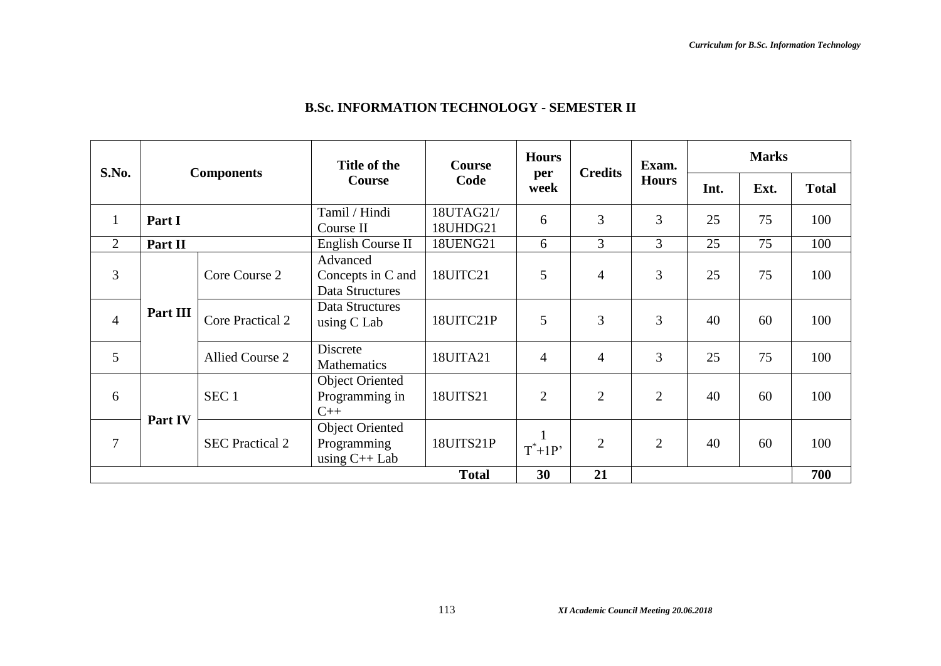| S.No.          |                   |                         | Title of the                                             | Course                | <b>Hours</b>   | <b>Credits</b> | Exam.          |      | <b>Marks</b> |              |
|----------------|-------------------|-------------------------|----------------------------------------------------------|-----------------------|----------------|----------------|----------------|------|--------------|--------------|
|                | <b>Components</b> |                         | Code<br>Course                                           |                       | per<br>week    |                | <b>Hours</b>   | Int. | Ext.         | <b>Total</b> |
| $\mathbf{1}$   | Part I            |                         | Tamil / Hindi<br>Course II                               | 18UTAG21/<br>18UHDG21 | 6              | 3              | 3              | 25   | 75           | 100          |
| $\overline{2}$ | Part II           |                         | English Course II                                        | 18UENG21              | 6              | 3              | 3              | 25   | 75           | 100          |
| 3              |                   | Core Course 2           | Advanced<br>Concepts in C and<br>Data Structures         | 18UITC21              | 5              | $\overline{4}$ | 3              | 25   | 75           | 100          |
| $\overline{4}$ | Part III          | <b>Core Practical 2</b> | Data Structures<br>using C Lab                           | 18UITC21P             | 5              | 3              | 3              | 40   | 60           | 100          |
| 5              |                   | <b>Allied Course 2</b>  | Discrete<br>Mathematics                                  | 18UITA21              | $\overline{4}$ | $\overline{4}$ | 3              | 25   | 75           | 100          |
| 6              |                   | SEC <sub>1</sub>        | <b>Object Oriented</b><br>Programming in<br>$C++$        | 18UITS21              | $\overline{2}$ | $\overline{2}$ | $\overline{2}$ | 40   | 60           | 100          |
| 7              | Part IV           | <b>SEC Practical 2</b>  | <b>Object Oriented</b><br>Programming<br>using $C++$ Lab | 18UITS21P             | $T^*+1P$       | $\overline{2}$ | $\overline{2}$ | 40   | 60           | 100          |
|                |                   |                         |                                                          | <b>Total</b>          | 30             | 21             |                |      |              | 700          |

## **B.Sc. INFORMATION TECHNOLOGY - SEMESTER II**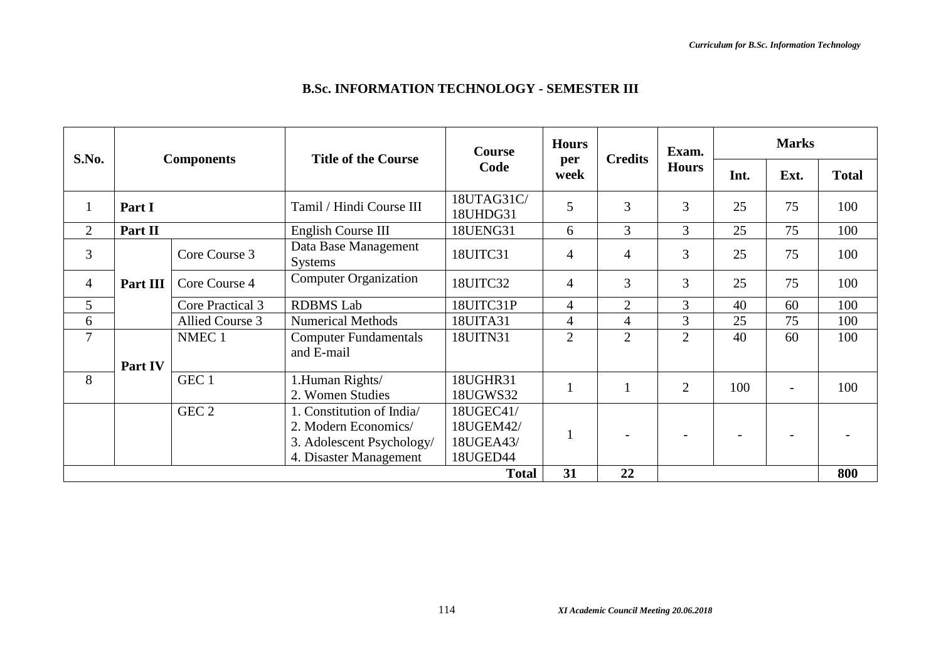|  |  |  |  |  | B.Sc. INFORMATION TECHNOLOGY - SEMESTER III |
|--|--|--|--|--|---------------------------------------------|
|--|--|--|--|--|---------------------------------------------|

|                |          |                   | <b>Title of the Course</b>             | <b>Course</b>          | <b>Hours</b>   |                | Exam.          |      | <b>Marks</b> |              |
|----------------|----------|-------------------|----------------------------------------|------------------------|----------------|----------------|----------------|------|--------------|--------------|
| S.No.          |          | <b>Components</b> |                                        | Code                   | per<br>week    | <b>Credits</b> | <b>Hours</b>   | Int. | Ext.         | <b>Total</b> |
|                | Part I   |                   | Tamil / Hindi Course III               | 18UTAG31C/<br>18UHDG31 | 5              | 3              | $\overline{3}$ | 25   | 75           | 100          |
| $\overline{2}$ | Part II  |                   | English Course III                     | 18UENG31               | 6              | 3              | 3              | 25   | 75           | 100          |
| 3              |          | Core Course 3     | Data Base Management<br><b>Systems</b> | 18UITC31               | 4              | $\overline{4}$ | 3              | 25   | 75           | 100          |
| $\overline{4}$ | Part III | Core Course 4     | <b>Computer Organization</b>           | 18UITC32               | $\overline{4}$ | 3              | $\overline{3}$ | 25   | 75           | 100          |
| 5              |          | Core Practical 3  | <b>RDBMS</b> Lab                       | 18UITC31P              | $\overline{4}$ | $\overline{2}$ | 3              | 40   | 60           | 100          |
| 6              |          | Allied Course 3   | <b>Numerical Methods</b>               | 18UITA31               | $\overline{4}$ | $\overline{4}$ | 3              | 25   | 75           | 100          |
| 7              |          | NMEC <sub>1</sub> | <b>Computer Fundamentals</b>           | 18UITN31               | $\overline{2}$ | $\overline{2}$ | $\overline{2}$ | 40   | 60           | 100          |
|                |          |                   | and E-mail                             |                        |                |                |                |      |              |              |
|                | Part IV  |                   |                                        |                        |                |                |                |      |              |              |
| 8              |          | GEC 1             | 1.Human Rights/<br>2. Women Studies    | 18UGHR31<br>18UGWS32   |                |                | $\overline{2}$ | 100  |              | 100          |
|                |          | GEC <sub>2</sub>  | 1. Constitution of India/              | 18UGEC41/              |                |                |                |      |              |              |
|                |          |                   | 2. Modern Economics/                   | 18UGEM42/              |                |                |                |      |              |              |
|                |          |                   | 3. Adolescent Psychology/              | 18UGEA43/              |                |                |                |      |              |              |
|                |          |                   | 4. Disaster Management                 | 18UGED44               |                |                |                |      |              |              |
|                |          |                   |                                        | <b>Total</b>           | 31             | 22             |                |      |              | 800          |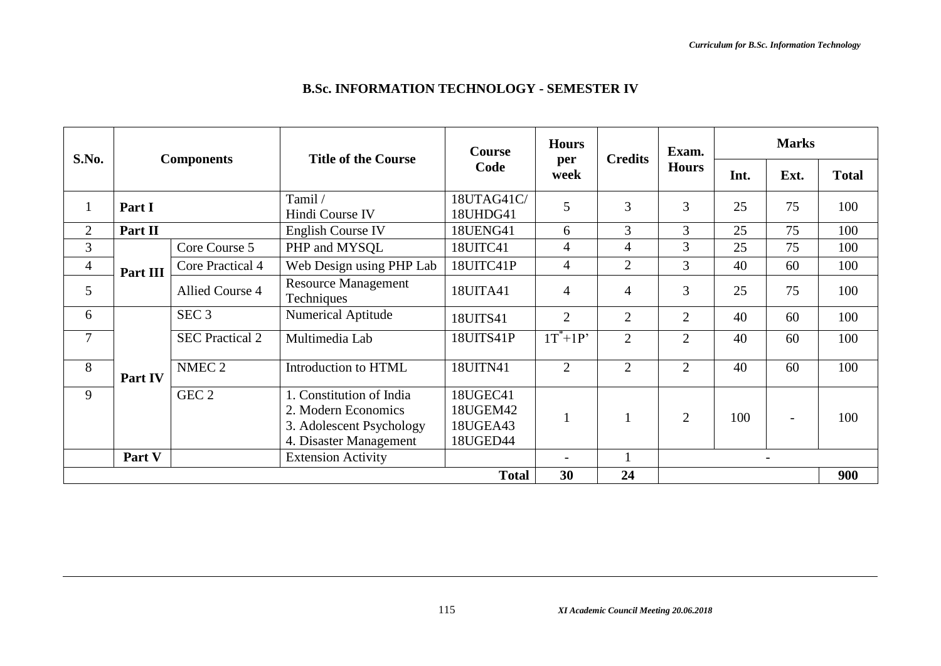| <b>B.Sc. INFORMATION TECHNOLOGY - SEMESTER IV</b> |
|---------------------------------------------------|
|---------------------------------------------------|

| S.No.          |          |                        | <b>Title of the Course</b>                                                                            | <b>Course</b>                                | <b>Hours</b>             |                | Exam.          |      | <b>Marks</b>             |              |
|----------------|----------|------------------------|-------------------------------------------------------------------------------------------------------|----------------------------------------------|--------------------------|----------------|----------------|------|--------------------------|--------------|
|                |          | <b>Components</b>      |                                                                                                       | Code                                         | per<br>week              | <b>Credits</b> | <b>Hours</b>   | Int. | Ext.                     | <b>Total</b> |
| $\mathbf{1}$   | Part I   |                        | Tamil /<br>Hindi Course IV                                                                            | 18UTAG41C/<br>18UHDG41                       | 5                        | 3              | 3              | 25   | 75                       | 100          |
| $\overline{2}$ | Part II  |                        | <b>English Course IV</b>                                                                              | 18UENG41                                     | 6                        | 3              | 3              | 25   | 75                       | 100          |
| 3              |          | Core Course 5          | PHP and MYSQL                                                                                         | 18UITC41                                     | $\overline{4}$           | $\overline{4}$ | 3              | 25   | 75                       | 100          |
| $\overline{4}$ | Part III | Core Practical 4       | Web Design using PHP Lab                                                                              | 18UITC41P                                    | $\overline{4}$           | $\overline{2}$ | 3              | 40   | 60                       | 100          |
| 5              |          | Allied Course 4        | <b>Resource Management</b><br>Techniques                                                              | 18UITA41                                     | $\overline{4}$           | $\overline{4}$ | 3              | 25   | 75                       | 100          |
| 6              |          | SEC <sub>3</sub>       | <b>Numerical Aptitude</b>                                                                             | 18UITS41                                     | $\overline{2}$           | 2              | $\overline{2}$ | 40   | 60                       | 100          |
| $\overline{7}$ |          | <b>SEC Practical 2</b> | Multimedia Lab                                                                                        | 18UITS41P                                    | $1T^*+1P'$               | $\overline{2}$ | $\overline{2}$ | 40   | 60                       | 100          |
| 8              | Part IV  | NMEC <sub>2</sub>      | Introduction to HTML                                                                                  | 18UITN41                                     | $\overline{2}$           | 2              | $\overline{2}$ | 40   | 60                       | 100          |
| 9              |          | GEC <sub>2</sub>       | 1. Constitution of India<br>2. Modern Economics<br>3. Adolescent Psychology<br>4. Disaster Management | 18UGEC41<br>18UGEM42<br>18UGEA43<br>18UGED44 |                          |                | $\overline{2}$ | 100  |                          | 100          |
|                | Part V   |                        | <b>Extension Activity</b>                                                                             |                                              | $\overline{\phantom{0}}$ |                |                |      | $\overline{\phantom{a}}$ |              |
|                |          |                        |                                                                                                       | <b>Total</b>                                 | 30                       | 24             |                |      |                          | 900          |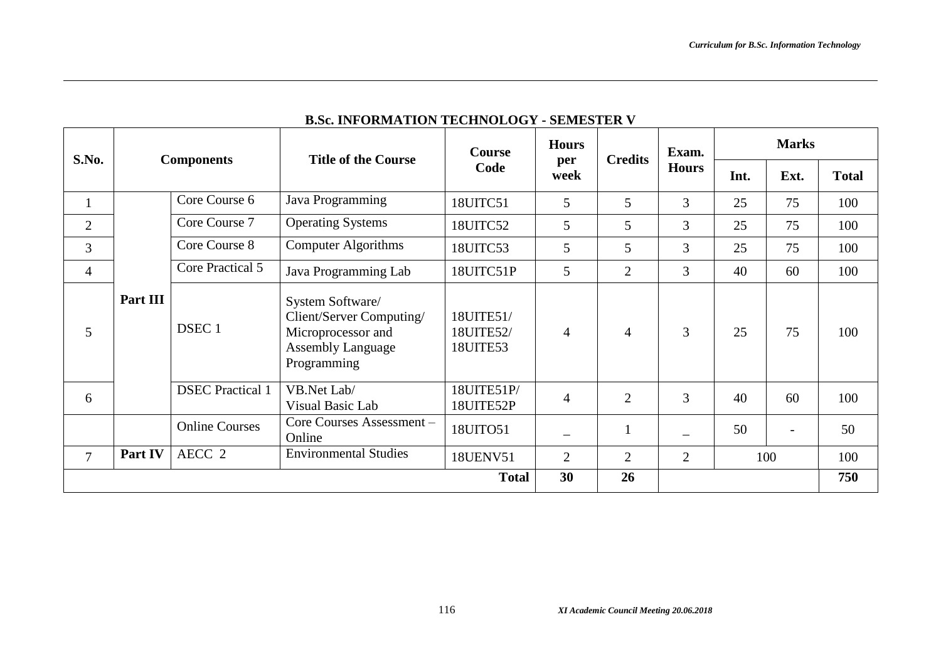|                |                   |                         | <b>Title of the Course</b>                                                                                    | Course                             | <b>Hours</b>   |                | Exam.          | <b>Marks</b> |      |              |
|----------------|-------------------|-------------------------|---------------------------------------------------------------------------------------------------------------|------------------------------------|----------------|----------------|----------------|--------------|------|--------------|
| S.No.          | <b>Components</b> |                         |                                                                                                               | Code                               | per<br>week    | <b>Credits</b> | <b>Hours</b>   | Int.         | Ext. | <b>Total</b> |
|                |                   | Core Course 6           | Java Programming                                                                                              | 18UITC51                           | 5              | 5              | 3              | 25           | 75   | 100          |
| $\overline{2}$ |                   | Core Course 7           | <b>Operating Systems</b>                                                                                      | 18UITC52                           | 5              | 5              | $\overline{3}$ | 25           | 75   | 100          |
| 3              |                   | Core Course 8           | <b>Computer Algorithms</b>                                                                                    | 18UITC53                           | 5              | 5              | $\overline{3}$ | 25           | 75   | 100          |
| $\overline{4}$ |                   | Core Practical 5        | Java Programming Lab                                                                                          | 18UITC51P                          | 5              | $\overline{2}$ | 3              | 40           | 60   | 100          |
| 5              | Part III          | DSEC <sub>1</sub>       | System Software/<br>Client/Server Computing/<br>Microprocessor and<br><b>Assembly Language</b><br>Programming | 18UITE51/<br>18UITE52/<br>18UITE53 | 4              | $\overline{4}$ | 3              | 25           | 75   | 100          |
| 6              |                   | <b>DSEC</b> Practical 1 | VB.Net Lab/<br>Visual Basic Lab                                                                               | 18UITE51P/<br>18UITE52P            | 4              | $\overline{2}$ | $\overline{3}$ | 40           | 60   | 100          |
|                |                   | <b>Online Courses</b>   | Core Courses Assessment-<br>Online                                                                            | 18UITO51                           |                |                |                | 50           |      | 50           |
| $\overline{7}$ | Part IV           | AECC <sub>2</sub>       | <b>Environmental Studies</b>                                                                                  | 18UENV51                           | $\overline{2}$ | $\overline{2}$ | $\overline{2}$ |              | 100  | 100          |
|                |                   |                         |                                                                                                               | <b>Total</b>                       | 30             | 26             |                |              |      | 750          |

## **B.Sc. INFORMATION TECHNOLOGY - SEMESTER V**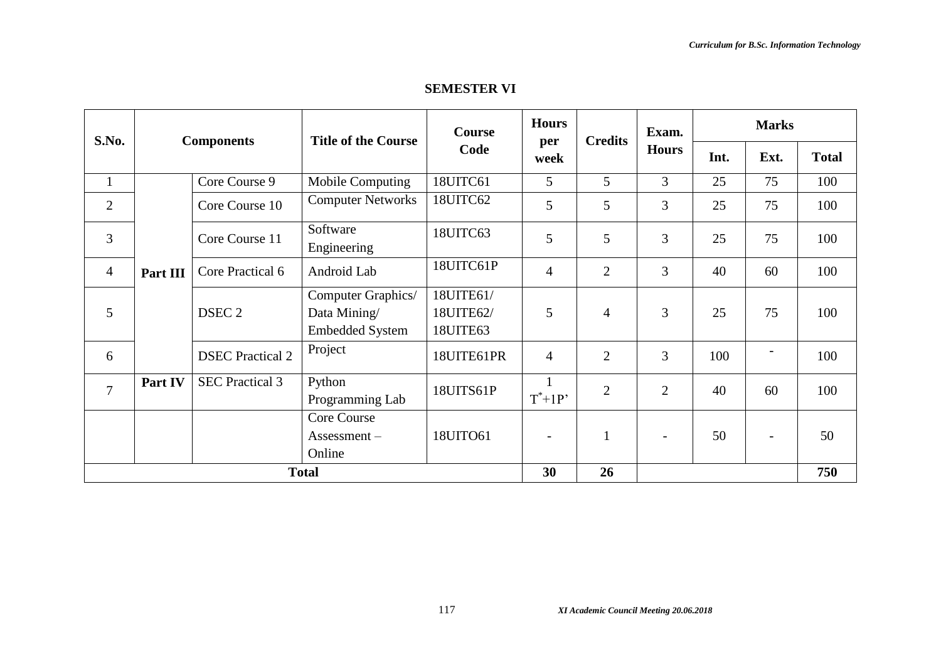## **SEMESTER VI**

| S.No.          |          | <b>Components</b>       | <b>Course</b><br><b>Title of the Course</b>                  |                                    | <b>Hours</b>             | <b>Credits</b> | Exam.                    |      | <b>Marks</b>             |              |  |
|----------------|----------|-------------------------|--------------------------------------------------------------|------------------------------------|--------------------------|----------------|--------------------------|------|--------------------------|--------------|--|
|                |          |                         |                                                              | Code                               | per<br>week              |                | <b>Hours</b>             | Int. | Ext.                     | <b>Total</b> |  |
| $\mathbf{1}$   |          | Core Course 9           | <b>Mobile Computing</b>                                      | 18UITC61                           | 5                        | 5              | 3                        | 25   | 75                       | 100          |  |
| $\overline{2}$ |          | Core Course 10          | <b>Computer Networks</b>                                     | 18UITC62                           | 5                        | 5              | 3                        | 25   | 75                       | 100          |  |
| 3              |          | Core Course 11          | Software<br>Engineering                                      | 18UITC63                           | 5                        | 5              | 3                        | 25   | 75                       | 100          |  |
| $\overline{4}$ | Part III | Core Practical 6        | Android Lab                                                  | 18UITC61P                          | $\overline{4}$           | $\overline{2}$ | 3                        | 40   | 60                       | 100          |  |
| 5              |          | DSEC <sub>2</sub>       | Computer Graphics/<br>Data Mining/<br><b>Embedded System</b> | 18UITE61/<br>18UITE62/<br>18UITE63 | 5                        | $\overline{4}$ | 3                        | 25   | 75                       | 100          |  |
| 6              |          | <b>DSEC</b> Practical 2 | Project                                                      | 18UITE61PR                         | $\overline{4}$           | $\overline{2}$ | 3                        | 100  |                          | 100          |  |
| $\overline{7}$ | Part IV  | <b>SEC Practical 3</b>  | Python<br>Programming Lab                                    | 18UITS61P                          | $T^*+1P'$                | $\overline{2}$ | $\overline{2}$           | 40   | 60                       | 100          |  |
|                |          |                         | <b>Core Course</b><br>Assessment –<br>Online                 | 18UITO61                           | $\overline{\phantom{a}}$ | $\mathbf{1}$   | $\overline{\phantom{0}}$ | 50   | $\overline{\phantom{a}}$ | 50           |  |
|                |          |                         | <b>Total</b>                                                 |                                    | 30                       | 26             |                          |      |                          | 750          |  |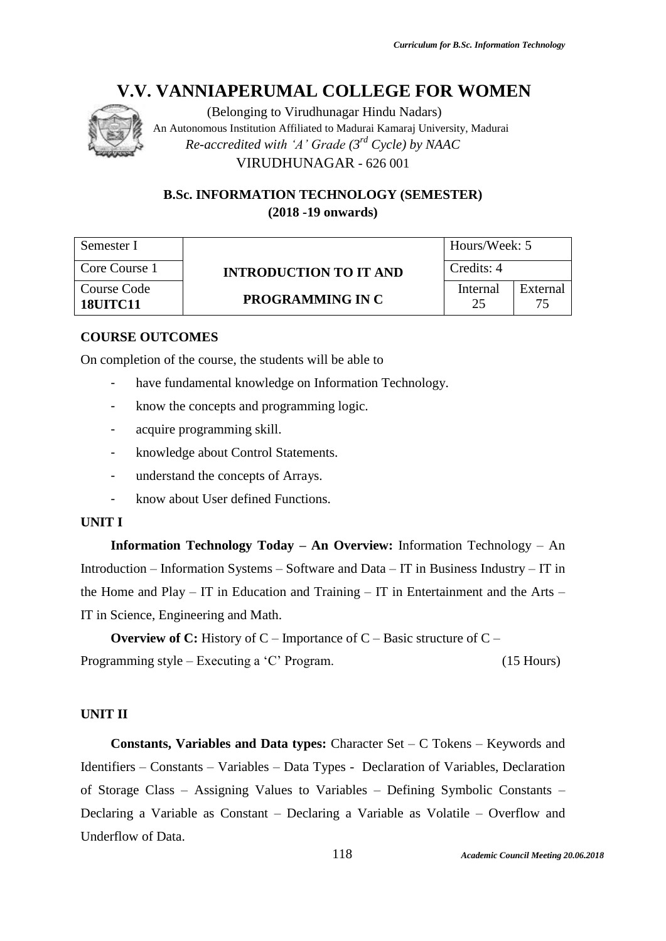

(Belonging to Virudhunagar Hindu Nadars) An Autonomous Institution Affiliated to Madurai Kamaraj University, Madurai *Re-accredited with 'A' Grade (3rd Cycle) by NAAC* VIRUDHUNAGAR - 626 001

## **B.Sc. INFORMATION TECHNOLOGY (SEMESTER) (2018 -19 onwards)**

| Semester I                     |                               | Hours/Week: 5  |          |
|--------------------------------|-------------------------------|----------------|----------|
| Core Course 1                  | <b>INTRODUCTION TO IT AND</b> | Credits: 4     |          |
| Course Code<br><b>18UITC11</b> | PROGRAMMING IN C              | Internal<br>25 | External |

## **COURSE OUTCOMES**

On completion of the course, the students will be able to

- have fundamental knowledge on Information Technology.
- know the concepts and programming logic.
- acquire programming skill.
- knowledge about Control Statements.
- understand the concepts of Arrays.
- know about User defined Functions.

#### **UNIT I**

**Information Technology Today – An Overview:** Information Technology – An Introduction – Information Systems – Software and Data – IT in Business Industry – IT in the Home and Play – IT in Education and Training – IT in Entertainment and the Arts – IT in Science, Engineering and Math.

**Overview of C:** History of C – Importance of C – Basic structure of C – Programming style – Executing a 'C' Program. (15 Hours)

#### **UNIT II**

**Constants, Variables and Data types:** Character Set – C Tokens – Keywords and Identifiers – Constants – Variables – Data Types - Declaration of Variables, Declaration of Storage Class – Assigning Values to Variables – Defining Symbolic Constants – Declaring a Variable as Constant – Declaring a Variable as Volatile – Overflow and Underflow of Data.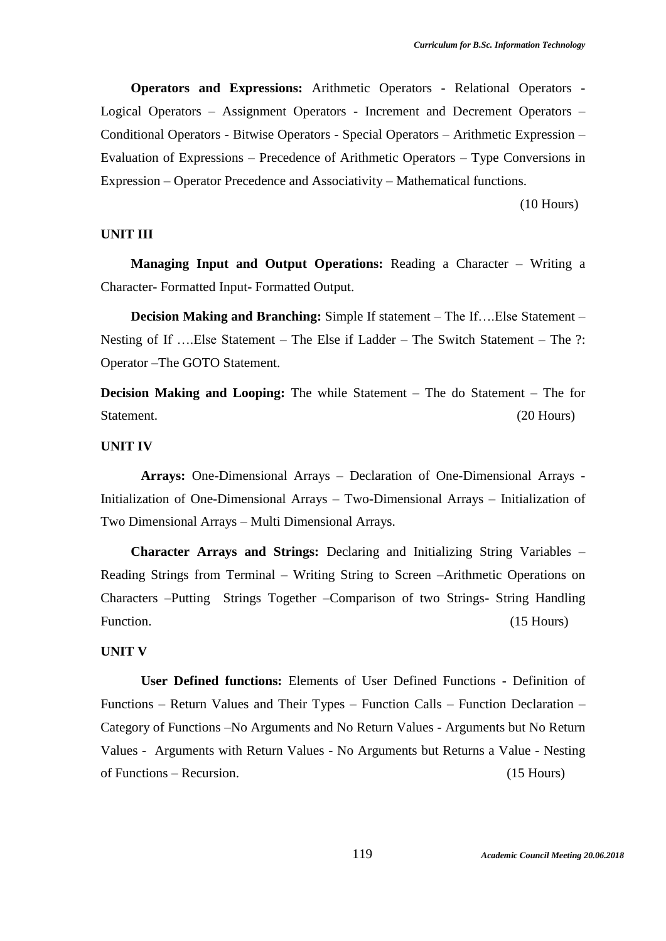**Operators and Expressions:** Arithmetic Operators - Relational Operators - Logical Operators – Assignment Operators - Increment and Decrement Operators – Conditional Operators - Bitwise Operators - Special Operators – Arithmetic Expression – Evaluation of Expressions – Precedence of Arithmetic Operators – Type Conversions in Expression – Operator Precedence and Associativity – Mathematical functions.

(10 Hours)

#### **UNIT III**

**Managing Input and Output Operations:** Reading a Character – Writing a Character- Formatted Input- Formatted Output.

 **Decision Making and Branching:** Simple If statement – The If….Else Statement – Nesting of If ….Else Statement – The Else if Ladder – The Switch Statement – The ?: Operator –The GOTO Statement.

**Decision Making and Looping:** The while Statement – The do Statement – The for Statement. (20 Hours)

#### **UNIT IV**

**Arrays:** One-Dimensional Arrays – Declaration of One-Dimensional Arrays - Initialization of One-Dimensional Arrays – Two-Dimensional Arrays – Initialization of Two Dimensional Arrays – Multi Dimensional Arrays.

**Character Arrays and Strings:** Declaring and Initializing String Variables – Reading Strings from Terminal – Writing String to Screen –Arithmetic Operations on Characters –Putting Strings Together –Comparison of two Strings- String Handling Function. (15 Hours) (15 Hours)

#### **UNIT V**

**User Defined functions:** Elements of User Defined Functions - Definition of Functions – Return Values and Their Types – Function Calls – Function Declaration – Category of Functions –No Arguments and No Return Values - Arguments but No Return Values - Arguments with Return Values - No Arguments but Returns a Value - Nesting of Functions – Recursion. (15 Hours)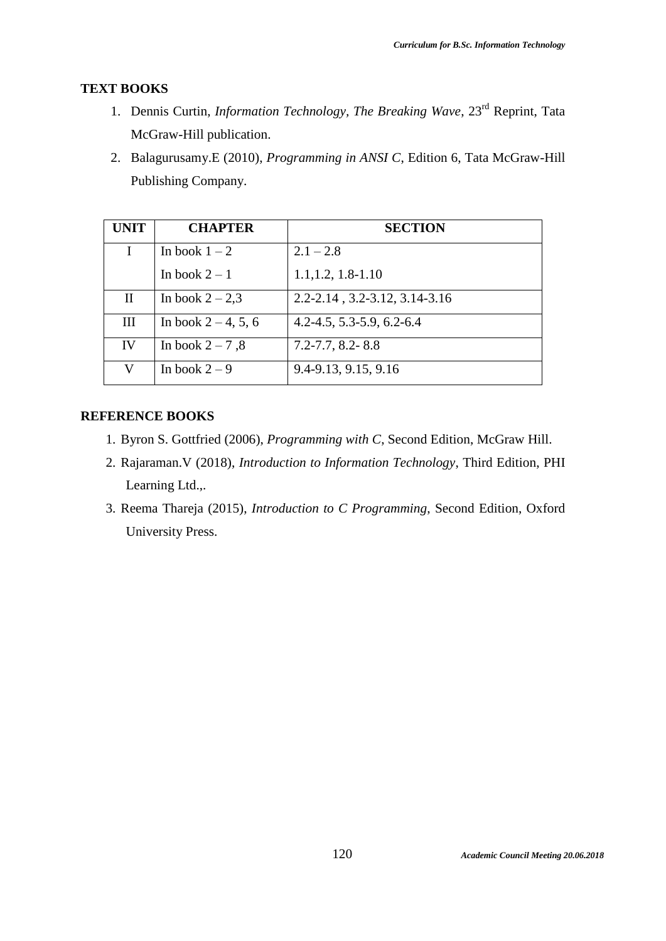## **TEXT BOOKS**

- 1. Dennis Curtin, *Information Technology, The Breaking Wave*, 23rd Reprint, Tata McGraw-Hill publication.
- 2. Balagurusamy.E (2010), *Programming in ANSI C*, Edition 6, Tata McGraw-Hill Publishing Company.

| <b>UNIT</b> | <b>CHAPTER</b>         | <b>SECTION</b>                     |
|-------------|------------------------|------------------------------------|
| I           | In book $1-2$          | $2.1 - 2.8$                        |
|             | In book $2-1$          | $1.1, 1.2, 1.8-1.10$               |
| $\mathbf H$ | In book $2-2,3$        | $2.2 - 2.14$ , 3.2-3.12, 3.14-3.16 |
| Ш           | In book $2 - 4$ , 5, 6 | $4.2 - 4.5, 5.3 - 5.9, 6.2 - 6.4$  |
| IV          | In book $2-7,8$        | $7.2 - 7.7$ , 8.2 - 8.8            |
| V           | In book $2-9$          | 9.4-9.13, 9.15, 9.16               |

## **REFERENCE BOOKS**

- 1. Byron S. Gottfried (2006), *Programming with C*, Second Edition, McGraw Hill.
- 2. Rajaraman.V (2018), *Introduction to Information Technology*, Third Edition, PHI Learning Ltd.,.
- 3. Reema Thareja (2015), *Introduction to C Programming*, Second Edition, Oxford University Press.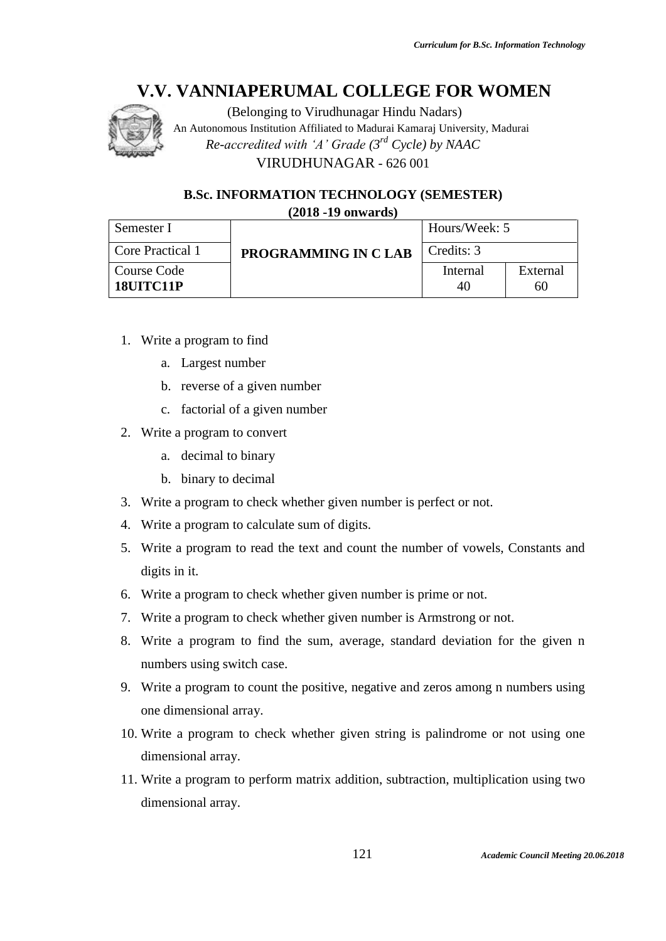

(Belonging to Virudhunagar Hindu Nadars) An Autonomous Institution Affiliated to Madurai Kamaraj University, Madurai *Re-accredited with 'A' Grade (3rd Cycle) by NAAC* VIRUDHUNAGAR - 626 001

## **B.Sc. INFORMATION TECHNOLOGY (SEMESTER)**

**(2018 -19 onwards)**

| Semester I               |                     | Hours/Week: 5  |                |
|--------------------------|---------------------|----------------|----------------|
| Core Practical 1         | PROGRAMMING IN CLAB | Credits: 3     |                |
| Course Code<br>18UITC11P |                     | Internal<br>40 | External<br>60 |

- 1. Write a program to find
	- a. Largest number
	- b. reverse of a given number
	- c. factorial of a given number
- 2. Write a program to convert
	- a. decimal to binary
	- b. binary to decimal
- 3. Write a program to check whether given number is perfect or not.
- 4. Write a program to calculate sum of digits.
- 5. Write a program to read the text and count the number of vowels, Constants and digits in it.
- 6. Write a program to check whether given number is prime or not.
- 7. Write a program to check whether given number is Armstrong or not.
- 8. Write a program to find the sum, average, standard deviation for the given n numbers using switch case.
- 9. Write a program to count the positive, negative and zeros among n numbers using one dimensional array.
- 10. Write a program to check whether given string is palindrome or not using one dimensional array.
- 11. Write a program to perform matrix addition, subtraction, multiplication using two dimensional array.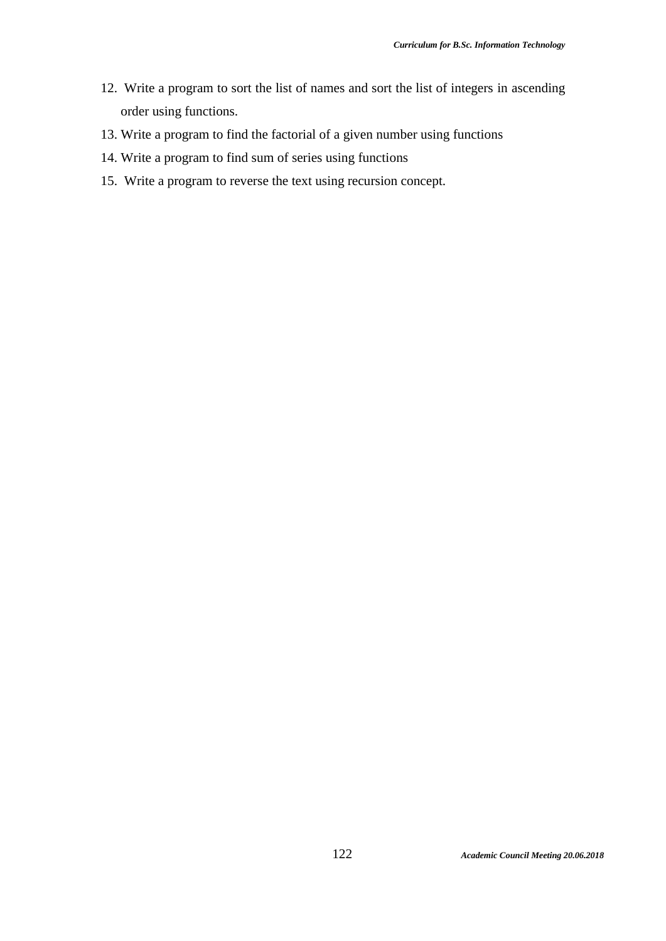- 12. Write a program to sort the list of names and sort the list of integers in ascending order using functions.
- 13. Write a program to find the factorial of a given number using functions
- 14. Write a program to find sum of series using functions
- 15. Write a program to reverse the text using recursion concept.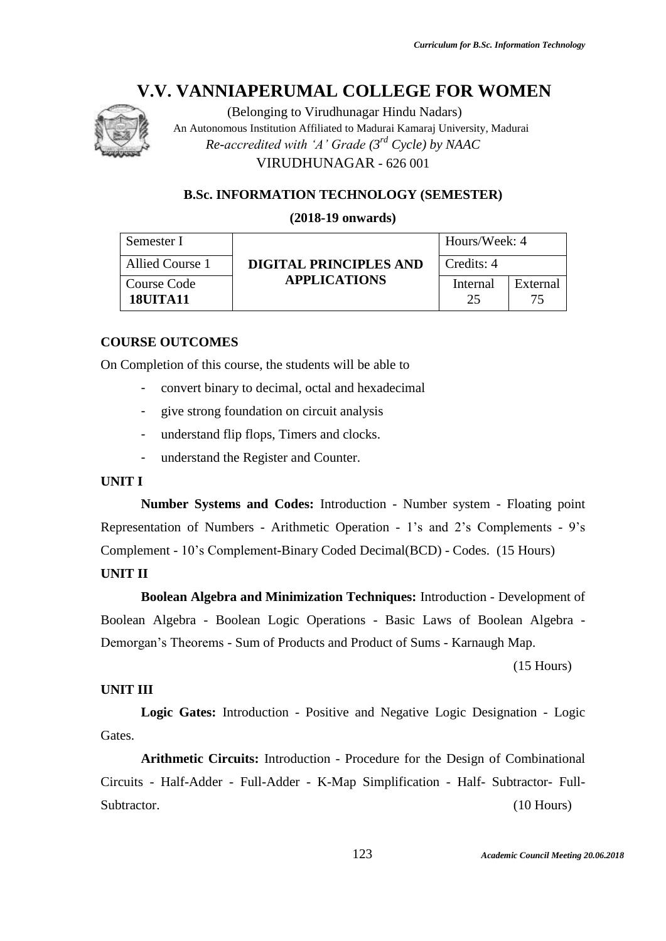

(Belonging to Virudhunagar Hindu Nadars) An Autonomous Institution Affiliated to Madurai Kamaraj University, Madurai *Re-accredited with 'A' Grade (3rd Cycle) by NAAC* VIRUDHUNAGAR - 626 001

## **B.Sc. INFORMATION TECHNOLOGY (SEMESTER)**

#### **(2018-19 onwards)**

| Semester I                     |                        | Hours/Week: 4  |                |
|--------------------------------|------------------------|----------------|----------------|
| Allied Course 1                | DIGITAL PRINCIPLES AND | Credits: 4     |                |
| Course Code<br><b>18UITA11</b> | <b>APPLICATIONS</b>    | Internal<br>25 | External<br>75 |

#### **COURSE OUTCOMES**

On Completion of this course, the students will be able to

- convert binary to decimal, octal and hexadecimal
- give strong foundation on circuit analysis
- understand flip flops, Timers and clocks.
- understand the Register and Counter.

#### **UNIT I**

**Number Systems and Codes:** Introduction - Number system - Floating point Representation of Numbers - Arithmetic Operation - 1's and 2's Complements - 9's Complement - 10's Complement-Binary Coded Decimal(BCD) - Codes. (15 Hours)

#### **UNIT II**

**Boolean Algebra and Minimization Techniques:** Introduction - Development of Boolean Algebra - Boolean Logic Operations - Basic Laws of Boolean Algebra - Demorgan's Theorems - Sum of Products and Product of Sums - Karnaugh Map.

(15 Hours)

## **UNIT III**

**Logic Gates:** Introduction - Positive and Negative Logic Designation - Logic Gates.

**Arithmetic Circuits:** Introduction - Procedure for the Design of Combinational Circuits - Half-Adder - Full-Adder - K-Map Simplification - Half- Subtractor- Full-Subtractor. (10 Hours)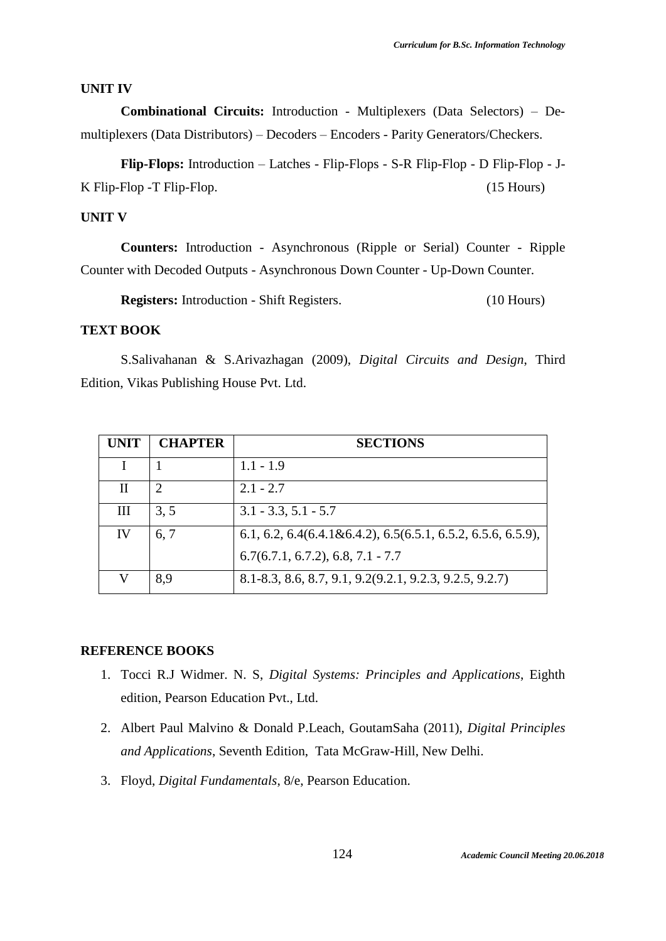#### **UNIT IV**

**Combinational Circuits:** Introduction - Multiplexers (Data Selectors) – Demultiplexers (Data Distributors) – Decoders – Encoders - Parity Generators/Checkers.

**Flip-Flops:** Introduction – Latches - Flip-Flops - S-R Flip-Flop - D Flip-Flop - J-K Flip-Flop -T Flip-Flop. (15 Hours)

#### **UNIT V**

**Counters:** Introduction - Asynchronous (Ripple or Serial) Counter - Ripple Counter with Decoded Outputs - Asynchronous Down Counter - Up-Down Counter.

**Registers:** Introduction - Shift Registers. (10 Hours)

## **TEXT BOOK**

S.Salivahanan & S.Arivazhagan (2009), *Digital Circuits and Design*, Third Edition, Vikas Publishing House Pvt. Ltd.

| <b>UNIT</b> | <b>CHAPTER</b> | <b>SECTIONS</b>                                                 |
|-------------|----------------|-----------------------------------------------------------------|
|             |                | $1.1 - 1.9$                                                     |
| $_{\rm II}$ | 2              | $2.1 - 2.7$                                                     |
| Ш           | 3, 5           | $3.1 - 3.3, 5.1 - 5.7$                                          |
| IV          | 6, 7           | $6.1, 6.2, 6.4(6.4.1\&6.4.2), 6.5(6.5.1, 6.5.2, 6.5.6, 6.5.9),$ |
|             |                | $6.7(6.7.1, 6.7.2), 6.8, 7.1 - 7.7$                             |
| V           | 8,9            | 8.1-8.3, 8.6, 8.7, 9.1, 9.2(9.2.1, 9.2.3, 9.2.5, 9.2.7)         |

#### **REFERENCE BOOKS**

- 1. Tocci R.J Widmer. N. S, *Digital Systems: Principles and Applications*, Eighth edition, Pearson Education Pvt., Ltd.
- 2. Albert Paul Malvino & Donald P.Leach, GoutamSaha (2011), *Digital Principles and Applications*, Seventh Edition, Tata McGraw-Hill, New Delhi.
- 3. Floyd, *Digital Fundamentals*, 8/e, Pearson Education.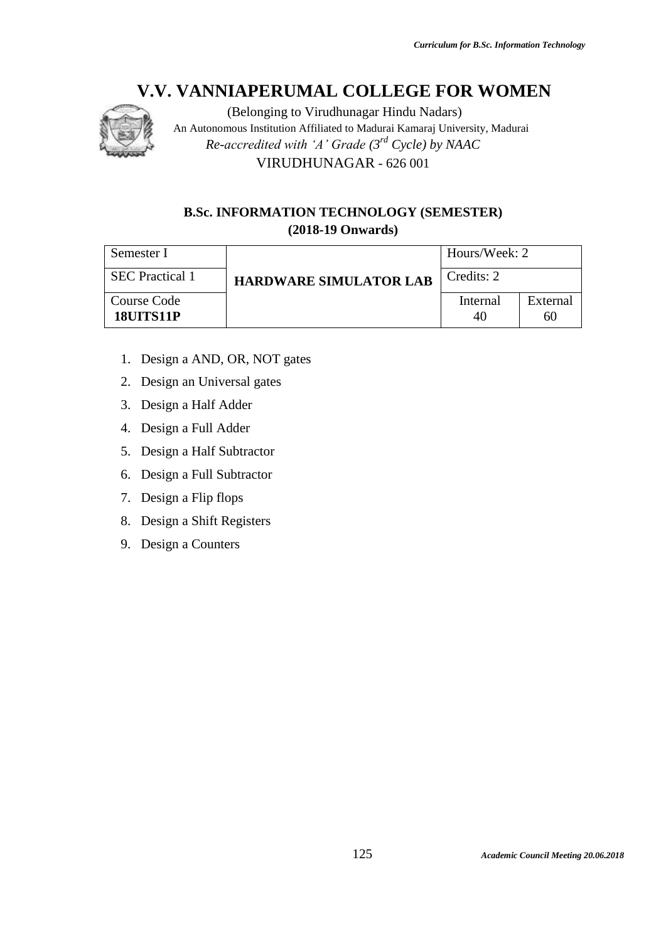

(Belonging to Virudhunagar Hindu Nadars) An Autonomous Institution Affiliated to Madurai Kamaraj University, Madurai *Re-accredited with 'A' Grade (3rd Cycle) by NAAC* VIRUDHUNAGAR - 626 001

## **B.Sc. INFORMATION TECHNOLOGY (SEMESTER) (2018-19 Onwards)**

| Semester I                      |                               | Hours/Week: 2  |                |
|---------------------------------|-------------------------------|----------------|----------------|
| <b>SEC</b> Practical 1          | <b>HARDWARE SIMULATOR LAB</b> | Credits: 2     |                |
| Course Code<br><b>18UITS11P</b> |                               | Internal<br>40 | External<br>60 |

- 1. Design a AND, OR, NOT gates
- 2. Design an Universal gates
- 3. Design a Half Adder
- 4. Design a Full Adder
- 5. Design a Half Subtractor
- 6. Design a Full Subtractor
- 7. Design a Flip flops
- 8. Design a Shift Registers
- 9. Design a Counters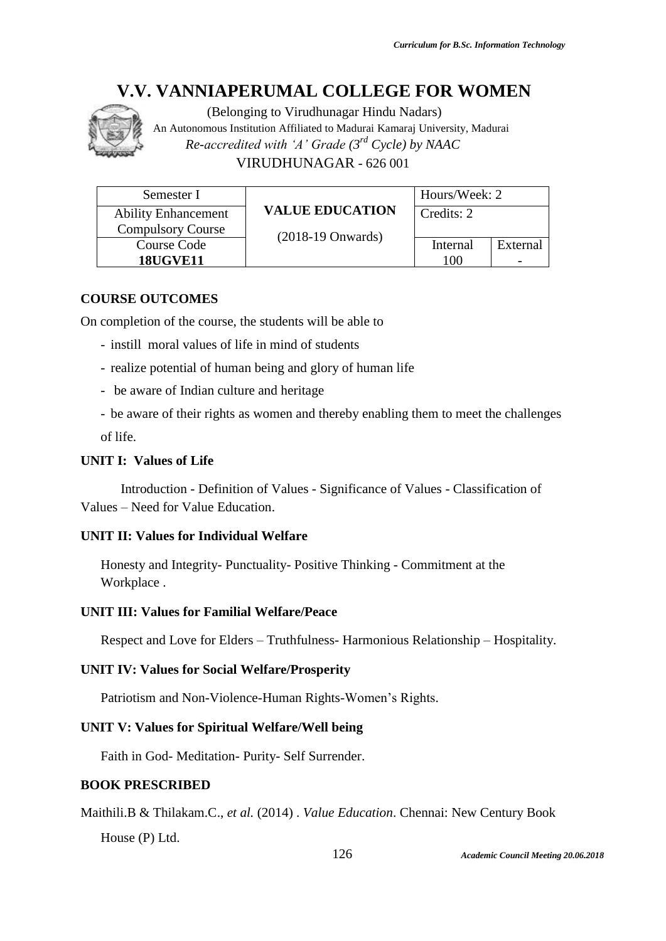

(Belonging to Virudhunagar Hindu Nadars) An Autonomous Institution Affiliated to Madurai Kamaraj University, Madurai *Re-accredited with 'A' Grade (3rd Cycle) by NAAC* VIRUDHUNAGAR - 626 001

| Semester I                 |                             | Hours/Week: 2 |          |
|----------------------------|-----------------------------|---------------|----------|
| <b>Ability Enhancement</b> | <b>VALUE EDUCATION</b>      | Credits: 2    |          |
| <b>Compulsory Course</b>   | $(2018-19 \text{ Onwards})$ |               |          |
| Course Code                |                             | Internal      | External |
| <b>18UGVE11</b>            |                             | 100           |          |

## **COURSE OUTCOMES**

On completion of the course, the students will be able to

- instill moral values of life in mind of students
- realize potential of human being and glory of human life
- be aware of Indian culture and heritage

- be aware of their rights as women and thereby enabling them to meet the challenges of life.

## **UNIT I: Values of Life**

Introduction - Definition of Values - Significance of Values - Classification of Values – Need for Value Education.

## **UNIT II: Values for Individual Welfare**

Honesty and Integrity- Punctuality- Positive Thinking - Commitment at the Workplace .

## **UNIT III: Values for Familial Welfare/Peace**

Respect and Love for Elders – Truthfulness- Harmonious Relationship – Hospitality.

## **UNIT IV: Values for Social Welfare/Prosperity**

Patriotism and Non-Violence-Human Rights-Women's Rights.

## **UNIT V: Values for Spiritual Welfare/Well being**

Faith in God- Meditation- Purity- Self Surrender.

## **BOOK PRESCRIBED**

Maithili.B & Thilakam.C., *et al.* (2014) . *Value Education*. Chennai: New Century Book House (P) Ltd.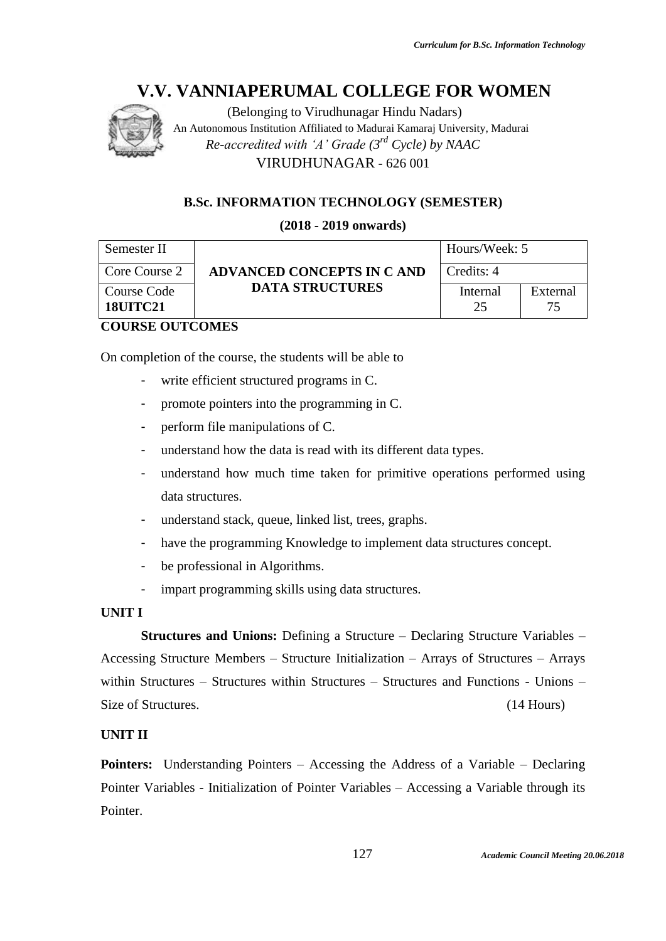

(Belonging to Virudhunagar Hindu Nadars) An Autonomous Institution Affiliated to Madurai Kamaraj University, Madurai *Re-accredited with 'A' Grade (3rd Cycle) by NAAC* VIRUDHUNAGAR - 626 001

## **B.Sc. INFORMATION TECHNOLOGY (SEMESTER)**

## **(2018 - 2019 onwards)**

| Semester II                    | ADVANCED CONCEPTS IN CAND | Hours/Week: 5  |                 |
|--------------------------------|---------------------------|----------------|-----------------|
| Core Course 2                  |                           | Credits: 4     |                 |
| Course Code<br><b>18UITC21</b> | <b>DATA STRUCTURES</b>    | Internal<br>25 | External<br>75. |

## **COURSE OUTCOMES**

On completion of the course, the students will be able to

- write efficient structured programs in C.
- promote pointers into the programming in C.
- perform file manipulations of C.
- understand how the data is read with its different data types.
- understand how much time taken for primitive operations performed using data structures.
- understand stack, queue, linked list, trees, graphs.
- have the programming Knowledge to implement data structures concept.
- be professional in Algorithms.
- impart programming skills using data structures.

## **UNIT I**

**Structures and Unions:** Defining a Structure – Declaring Structure Variables – Accessing Structure Members – Structure Initialization – Arrays of Structures – Arrays within Structures – Structures within Structures – Structures and Functions - Unions – Size of Structures. (14 Hours)

## **UNIT II**

**Pointers:** Understanding Pointers – Accessing the Address of a Variable – Declaring Pointer Variables - Initialization of Pointer Variables – Accessing a Variable through its Pointer.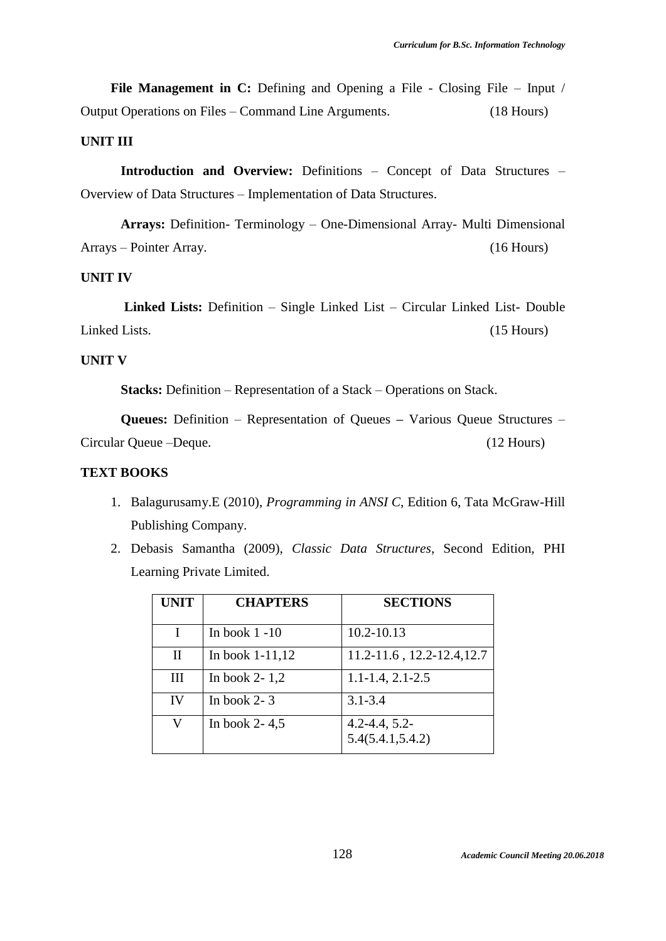**File Management in C:** Defining and Opening a File - Closing File – Input / Output Operations on Files – Command Line Arguments. (18 Hours)

## **UNIT III**

**Introduction and Overview:** Definitions – Concept of Data Structures – Overview of Data Structures – Implementation of Data Structures.

**Arrays:** Definition- Terminology – One-Dimensional Array- Multi Dimensional Arrays – Pointer Array. (16 Hours)

#### **UNIT IV**

**Linked Lists:** Definition – Single Linked List – Circular Linked List- Double Linked Lists. (15 Hours)

#### **UNIT V**

**Stacks:** Definition – Representation of a Stack – Operations on Stack.

**Queues:** Definition – Representation of Queues **–** Various Queue Structures – Circular Queue –Deque. (12 Hours)

## **TEXT BOOKS**

- 1. Balagurusamy.E (2010), *Programming in ANSI C*, Edition 6, Tata McGraw-Hill Publishing Company.
- 2. Debasis Samantha (2009), *Classic Data Structures*, Second Edition, PHI Learning Private Limited.

| <b>UNIT</b>  | <b>CHAPTERS</b>   | <b>SECTIONS</b>                         |
|--------------|-------------------|-----------------------------------------|
|              |                   |                                         |
| T            | In book $1 - 10$  | 10.2-10.13                              |
| $\mathbf{I}$ | In book $1-11,12$ | 11.2-11.6, 12.2-12.4, 12.7              |
| Ш            | In book $2-1,2$   | $1.1 - 1.4$ , $2.1 - 2.5$               |
| IV           | In book $2-3$     | $3.1 - 3.4$                             |
| V            | In book $2-4,5$   | $4.2 - 4.4, 5.2 -$<br>5.4(5.4.1, 5.4.2) |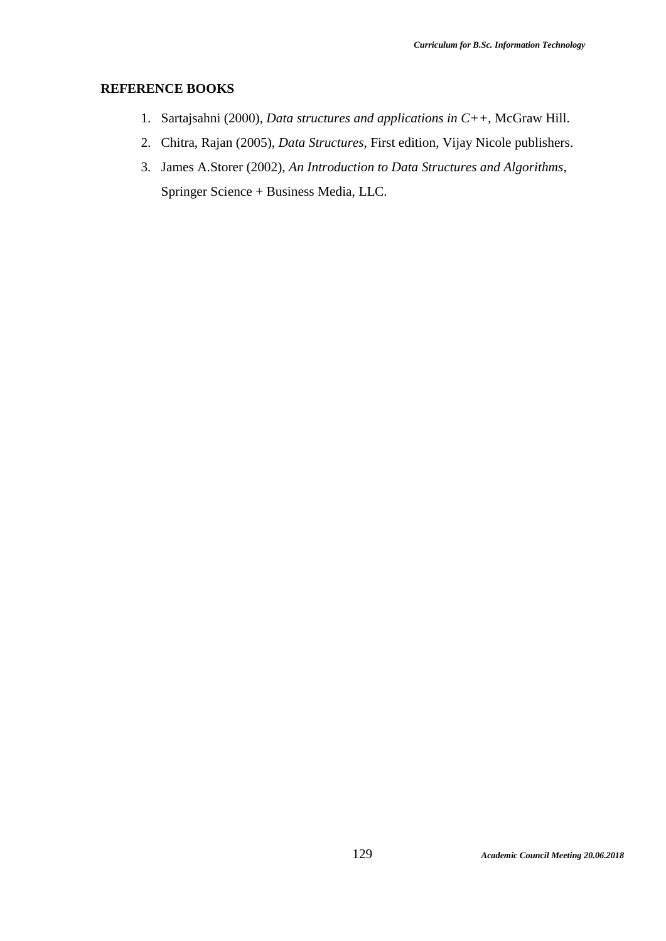## **REFERENCE BOOKS**

- 1. Sartajsahni (2000), *Data structures and applications in C++*, McGraw Hill.
- 2. Chitra, Rajan (2005), *Data Structures*, First edition, Vijay Nicole publishers.
- 3. James A.Storer (2002), *An Introduction to Data Structures and Algorithms*, Springer Science + Business Media, LLC.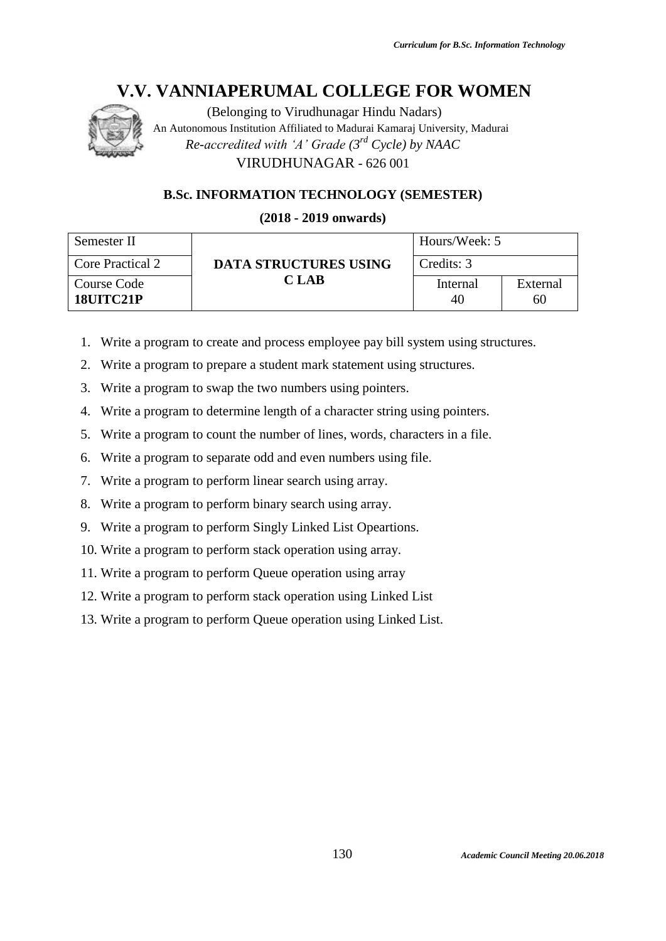

(Belonging to Virudhunagar Hindu Nadars) An Autonomous Institution Affiliated to Madurai Kamaraj University, Madurai *Re-accredited with 'A' Grade (3rd Cycle) by NAAC* VIRUDHUNAGAR - 626 001

## **B.Sc. INFORMATION TECHNOLOGY (SEMESTER)**

**(2018 - 2019 onwards)**

| Semester II              |                              | Hours/Week: 5  |                |
|--------------------------|------------------------------|----------------|----------------|
| <b>Core Practical 2</b>  | <b>DATA STRUCTURES USING</b> | Credits: 3     |                |
| Course Code<br>18UITC21P | C LAB                        | Internal<br>40 | External<br>60 |

- 1. Write a program to create and process employee pay bill system using structures.
- 2. Write a program to prepare a student mark statement using structures.
- 3. Write a program to swap the two numbers using pointers.
- 4. Write a program to determine length of a character string using pointers.
- 5. Write a program to count the number of lines, words, characters in a file.
- 6. Write a program to separate odd and even numbers using file.
- 7. Write a program to perform linear search using array.
- 8. Write a program to perform binary search using array.
- 9. Write a program to perform Singly Linked List Opeartions.
- 10. Write a program to perform stack operation using array.
- 11. Write a program to perform Queue operation using array
- 12. Write a program to perform stack operation using Linked List
- 13. Write a program to perform Queue operation using Linked List.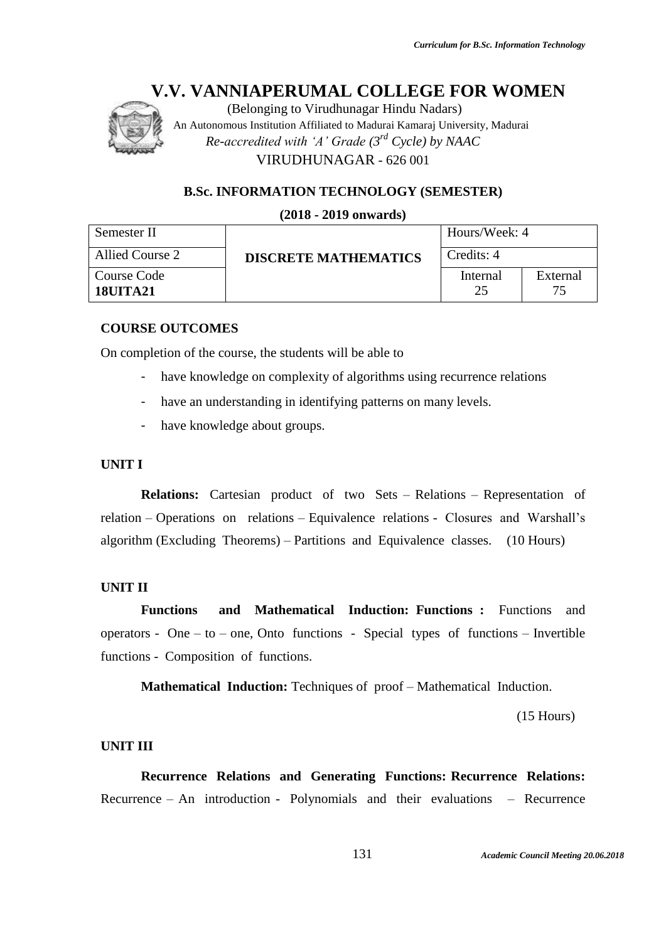

(Belonging to Virudhunagar Hindu Nadars) An Autonomous Institution Affiliated to Madurai Kamaraj University, Madurai *Re-accredited with 'A' Grade (3rd Cycle) by NAAC* VIRUDHUNAGAR - 626 001

## **B.Sc. INFORMATION TECHNOLOGY (SEMESTER)**

#### **(2018 - 2019 onwards)**

| Semester II                  |                             | Hours/Week: 4  |          |
|------------------------------|-----------------------------|----------------|----------|
| Allied Course 2              | <b>DISCRETE MATHEMATICS</b> | Credits: 4     |          |
| Course Code<br>$18$ UT $A21$ |                             | Internal<br>25 | External |

## **COURSE OUTCOMES**

On completion of the course, the students will be able to

- have knowledge on complexity of algorithms using recurrence relations
- have an understanding in identifying patterns on many levels.
- have knowledge about groups.

## **UNIT I**

**Relations:** Cartesian product of two Sets – Relations – Representation of relation – Operations on relations – Equivalence relations - Closures and Warshall's algorithm (Excluding Theorems) – Partitions and Equivalence classes. (10 Hours)

#### **UNIT II**

**Functions and Mathematical Induction: Functions :** Functions and operators - One – to – one, Onto functions - Special types of functions – Invertible functions - Composition of functions.

**Mathematical Induction:** Techniques of proof – Mathematical Induction.

(15 Hours)

#### **UNIT III**

**Recurrence Relations and Generating Functions: Recurrence Relations:**  Recurrence – An introduction - Polynomials and their evaluations – Recurrence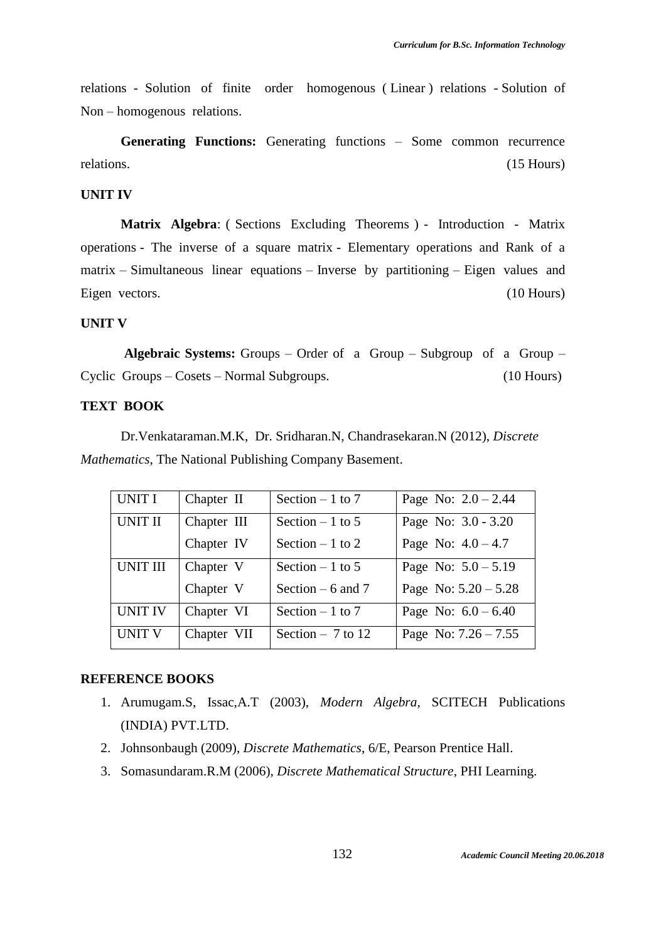relations - Solution of finite order homogenous ( Linear ) relations - Solution of Non – homogenous relations.

Generating Functions: Generating functions – Some common recurrence relations. (15 Hours) (15 Hours)

## **UNIT IV**

**Matrix Algebra**: ( Sections Excluding Theorems ) - Introduction - Matrix operations - The inverse of a square matrix - Elementary operations and Rank of a matrix – Simultaneous linear equations – Inverse by partitioning – Eigen values and Eigen vectors. (10 Hours)

#### **UNIT V**

**Algebraic Systems:** Groups – Order of a Group – Subgroup of a Group – Cyclic Groups – Cosets – Normal Subgroups. (10 Hours)

#### **TEXT BOOK**

Dr.Venkataraman.M.K, Dr. Sridharan.N, Chandrasekaran.N (2012), *Discrete Mathematics*, The National Publishing Company Basement.

| UNIT I          | Chapter II  | Section $-1$ to 7  | Page No: $2.0 - 2.44$  |
|-----------------|-------------|--------------------|------------------------|
| UNIT II         | Chapter III | Section $-1$ to 5  | Page No: 3.0 - 3.20    |
|                 | Chapter IV  | Section $-1$ to 2  | Page No: $4.0 - 4.7$   |
| <b>UNIT III</b> | Chapter V   | Section $-1$ to 5  | Page No: $5.0 - 5.19$  |
|                 | Chapter V   | Section $-6$ and 7 | Page No: $5.20 - 5.28$ |
| <b>UNIT IV</b>  | Chapter VI  | Section $-1$ to 7  | Page No: $6.0 - 6.40$  |
| <b>UNIT V</b>   | Chapter VII | Section $-7$ to 12 | Page No: $7.26 - 7.55$ |

#### **REFERENCE BOOKS**

- 1. Arumugam.S, Issac,A.T (2003), *Modern Algebra*, SCITECH Publications (INDIA) PVT.LTD.
- 2. Johnsonbaugh (2009), *Discrete Mathematics*, 6/E, Pearson Prentice Hall.
- 3. Somasundaram.R.M (2006), *Discrete Mathematical Structure*, PHI Learning.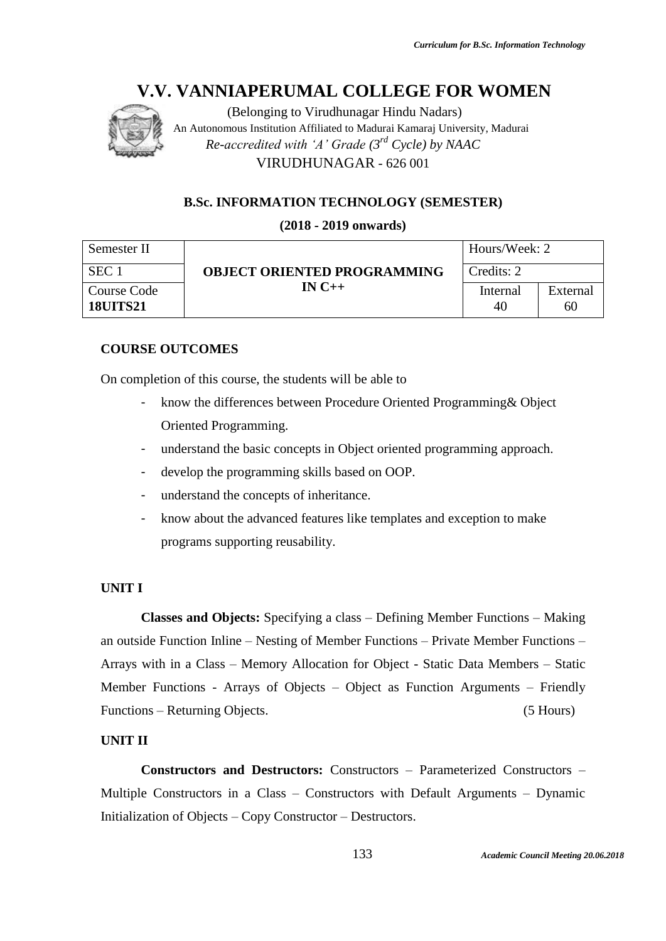

(Belonging to Virudhunagar Hindu Nadars) An Autonomous Institution Affiliated to Madurai Kamaraj University, Madurai *Re-accredited with 'A' Grade (3rd Cycle) by NAAC* VIRUDHUNAGAR - 626 001

## **B.Sc. INFORMATION TECHNOLOGY (SEMESTER)**

**(2018 - 2019 onwards)**

#### Semester II SEC 1 **OBJECT ORIENTED PROGRAMMING** Credits: 2 **IN C++** Hours/Week: 2 Course Code **18UITS21** Internal 40 External 60

## **COURSE OUTCOMES**

On completion of this course, the students will be able to

- know the differences between Procedure Oriented Programming & Object Oriented Programming.
- understand the basic concepts in Object oriented programming approach.
- develop the programming skills based on OOP.
- understand the concepts of inheritance.
- know about the advanced features like templates and exception to make programs supporting reusability.

## **UNIT I**

**Classes and Objects:** Specifying a class – Defining Member Functions – Making an outside Function Inline – Nesting of Member Functions – Private Member Functions – Arrays with in a Class – Memory Allocation for Object - Static Data Members – Static Member Functions - Arrays of Objects – Object as Function Arguments – Friendly Functions – Returning Objects. (5 Hours)

## **UNIT II**

**Constructors and Destructors:** Constructors – Parameterized Constructors – Multiple Constructors in a Class – Constructors with Default Arguments – Dynamic Initialization of Objects – Copy Constructor – Destructors.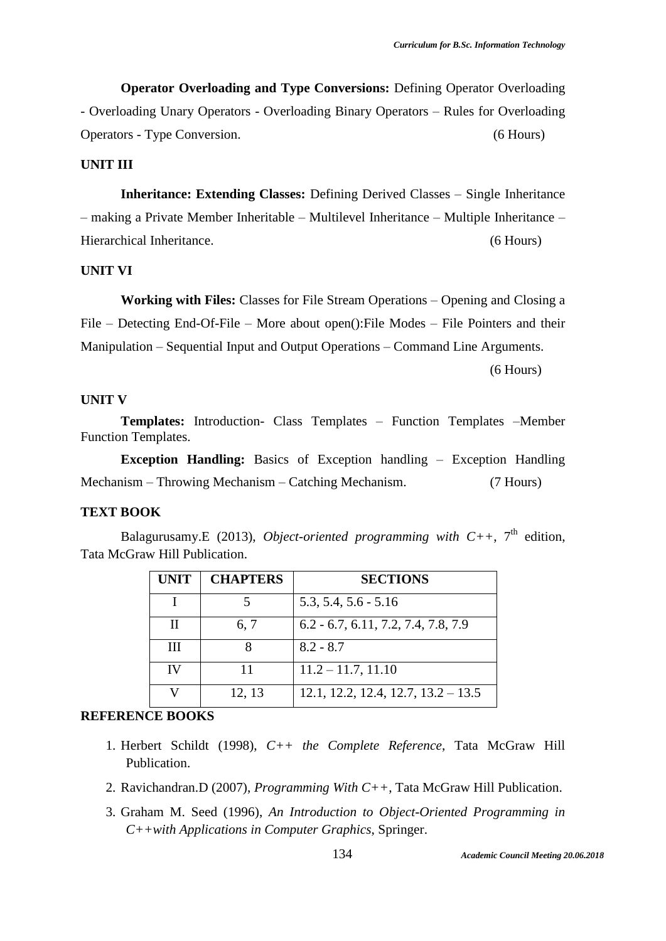**Operator Overloading and Type Conversions:** Defining Operator Overloading - Overloading Unary Operators - Overloading Binary Operators – Rules for Overloading Operators - Type Conversion. (6 Hours)

#### **UNIT III**

**Inheritance: Extending Classes:** Defining Derived Classes – Single Inheritance – making a Private Member Inheritable – Multilevel Inheritance – Multiple Inheritance – Hierarchical Inheritance. (6 Hours)

## **UNIT VI**

**Working with Files:** Classes for File Stream Operations – Opening and Closing a File – Detecting End-Of-File – More about open():File Modes – File Pointers and their Manipulation – Sequential Input and Output Operations – Command Line Arguments. (6 Hours)

#### **UNIT V**

**Templates:** Introduction- Class Templates – Function Templates –Member Function Templates.

**Exception Handling:** Basics of Exception handling – Exception Handling Mechanism – Throwing Mechanism – Catching Mechanism. (7 Hours)

#### **TEXT BOOK**

Balagurusamy.E (2013), *Object-oriented programming with*  $C_{++}$ , 7<sup>th</sup> edition, Tata McGraw Hill Publication.

| <b>UNIT</b> | <b>CHAPTERS</b> | <b>SECTIONS</b>                       |
|-------------|-----------------|---------------------------------------|
|             |                 | $5.3, 5.4, 5.6 - 5.16$                |
|             | 6, 7            | $6.2 - 6.7, 6.11, 7.2, 7.4, 7.8, 7.9$ |
| Ш           |                 | $8.2 - 8.7$                           |
| IV          | 11              | $11.2 - 11.7$ , 11.10                 |
|             | 12, 13          | $12.1, 12.2, 12.4, 12.7, 13.2 - 13.5$ |

## **REFERENCE BOOKS**

- 1. Herbert Schildt (1998), *C++ the Complete Reference*, Tata McGraw Hill Publication.
- 2. Ravichandran.D (2007), *Programming With C++*, Tata McGraw Hill Publication.
- 3. Graham M. Seed (1996), *An Introduction to Object-Oriented Programming in C++with Applications in Computer Graphics*, Springer.